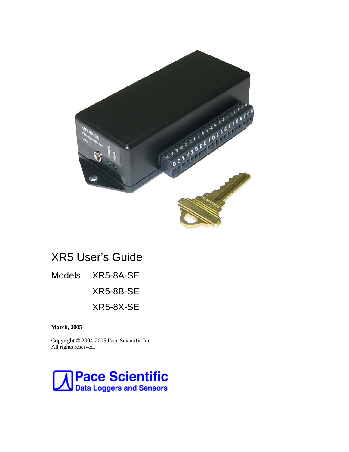

# XR5 User's Guide

Models XR5-8A-SE

XR5-8B-SE

XR5-8X-SE

**March, 2005**

Copyright © 2004-2005 Pace Scientific Inc. All rights reserved.

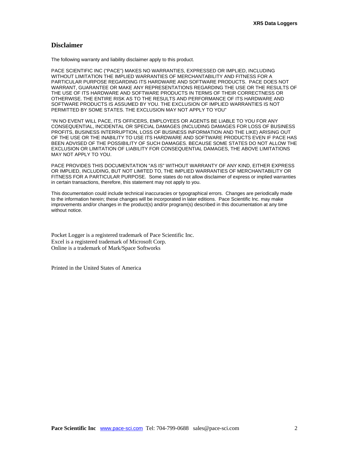### **Disclaimer**

The following warranty and liability disclaimer apply to this product.

PACE SCIENTIFIC INC ("PACE") MAKES NO WARRANTIES, EXPRESSED OR IMPLIED, INCLUDING WITHOUT LIMITATION THE IMPLIED WARRANTIES OF MERCHANTABILITY AND FITNESS FOR A PARTICULAR PURPOSE REGARDING ITS HARDWARE AND SOFTWARE PRODUCTS. PACE DOES NOT WARRANT, GUARANTEE OR MAKE ANY REPRESENTATIONS REGARDING THE USE OR THE RESULTS OF THE USE OF ITS HARDWARE AND SOFTWARE PRODUCTS IN TERMS OF THEIR CORRECTNESS OR OTHERWISE. THE ENTIRE RISK AS TO THE RESULTS AND PERFORMANCE OF ITS HARDWARE AND SOFTWARE PRODUCTS IS ASSUMED BY YOU. THE EXCLUSION OF IMPLIED WARRANTIES IS NOT PERMITTED BY SOME STATES. THE EXCLUSION MAY NOT APPLY TO YOU"

"IN NO EVENT WILL PACE, ITS OFFICERS, EMPLOYEES OR AGENTS BE LIABLE TO YOU FOR ANY CONSEQUENTIAL, INCIDENTAL OR SPECIAL DAMAGES (INCLUDING DAMAGES FOR LOSS OF BUSINESS PROFITS, BUSINESS INTERRUPTION, LOSS OF BUSINESS INFORMATION AND THE LIKE) ARISING OUT OF THE USE OR THE INABILITY TO USE ITS HARDWARE AND SOFTWARE PRODUCTS EVEN IF PACE HAS BEEN ADVISED OF THE POSSIBILITY OF SUCH DAMAGES. BECAUSE SOME STATES DO NOT ALLOW THE EXCLUSION OR LIMITATION OF LIABILITY FOR CONSEQUENTIAL DAMAGES, THE ABOVE LIMITATIONS MAY NOT APPLY TO YOU.

PACE PROVIDES THIS DOCUMENTATION "AS IS" WITHOUT WARRANTY OF ANY KIND, EITHER EXPRESS OR IMPLIED, INCLUDING, BUT NOT LIMITED TO, THE IMPLIED WARRANTIES OF MERCHANTABILITY OR FITNESS FOR A PARTICULAR PURPOSE. Some states do not allow disclaimer of express or implied warranties in certain transactions, therefore, this statement may not apply to you.

This documentation could include technical inaccuracies or typographical errors. Changes are periodically made to the information herein; these changes will be incorporated in later editions. Pace Scientific Inc. may make improvements and/or changes in the product(s) and/or program(s) described in this documentation at any time without notice.

Pocket Logger is a registered trademark of Pace Scientific Inc. Excel is a registered trademark of Microsoft Corp. Online is a trademark of Mark/Space Softworks

Printed in the United States of America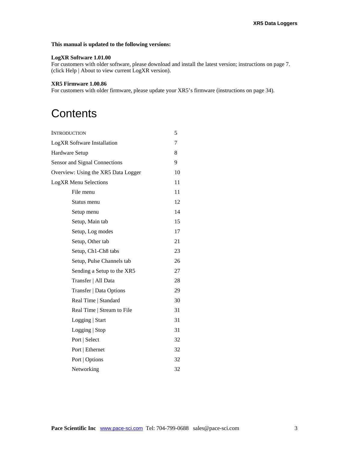### **This manual is updated to the following versions:**

#### **LogXR Software 1.01.00**

For customers with older software, please download and install the latest version; instructions on page 7. (click Help | About to view current LogXR version).

#### **XR5 Firmware 1.00.86**

For customers with older firmware, please update your XR5's firmware (instructions on page 34).

# **Contents**

| <b>INTRODUCTION</b>                 | 5  |  |
|-------------------------------------|----|--|
| <b>LogXR</b> Software Installation  |    |  |
| Hardware Setup                      | 8  |  |
| Sensor and Signal Connections       | 9  |  |
| Overview: Using the XR5 Data Logger | 10 |  |
| <b>LogXR Menu Selections</b>        | 11 |  |
| File menu                           | 11 |  |
| Status menu                         | 12 |  |
| Setup menu                          | 14 |  |
| Setup, Main tab                     | 15 |  |
| Setup, Log modes                    | 17 |  |
| Setup, Other tab                    | 21 |  |
| Setup, Ch1-Ch8 tabs                 | 23 |  |
| Setup, Pulse Channels tab           | 26 |  |
| Sending a Setup to the XR5          | 27 |  |
| Transfer   All Data                 | 28 |  |
| Transfer   Data Options             | 29 |  |
| Real Time   Standard                | 30 |  |
| Real Time   Stream to File          | 31 |  |
| Logging   Start                     | 31 |  |
| Logging   Stop                      | 31 |  |
| Port   Select                       | 32 |  |
| Port   Ethernet                     | 32 |  |
| Port   Options                      | 32 |  |
| Networking                          | 32 |  |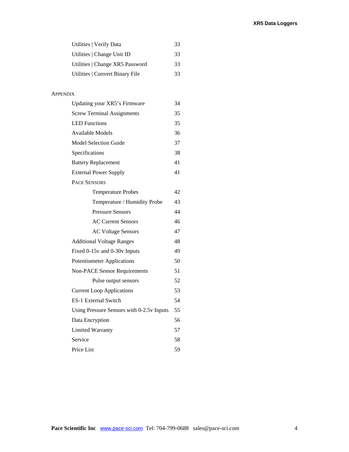| Utilities   Verify Data         | 33 |
|---------------------------------|----|
| Utilities   Change Unit ID      | 33 |
| Utilities   Change XR5 Password | 33 |
| Utilities   Convert Binary File | 33 |

### APPENDIX

| Updating your XR5's Firmware              | 34 |
|-------------------------------------------|----|
| <b>Screw Terminal Assignments</b>         | 35 |
| <b>LED Functions</b>                      | 35 |
| <b>Available Models</b>                   | 36 |
| <b>Model Selection Guide</b>              | 37 |
| Specifications                            | 38 |
| <b>Battery Replacement</b>                | 41 |
| <b>External Power Supply</b>              | 41 |
| <b>PACE SENSORS</b>                       |    |
| <b>Temperature Probes</b>                 | 42 |
| Temperature / Humidity Probe              | 43 |
| <b>Pressure Sensors</b>                   | 44 |
| <b>AC Current Sensors</b>                 | 46 |
| <b>AC Voltage Sensors</b>                 | 47 |
| <b>Additional Voltage Ranges</b>          | 48 |
| Fixed 0-15v and 0-30v Inputs              | 49 |
| Potentiometer Applications                | 50 |
| <b>Non-PACE Sensor Requirements</b>       | 51 |
| Pulse output sensors                      | 52 |
| <b>Current Loop Applications</b>          | 53 |
| <b>ES-1 External Switch</b>               | 54 |
| Using Pressure Sensors with 0-2.5v Inputs | 55 |
| Data Encryption                           | 56 |
| <b>Limited Warranty</b>                   | 57 |
| Service                                   | 58 |
| Price List                                | 59 |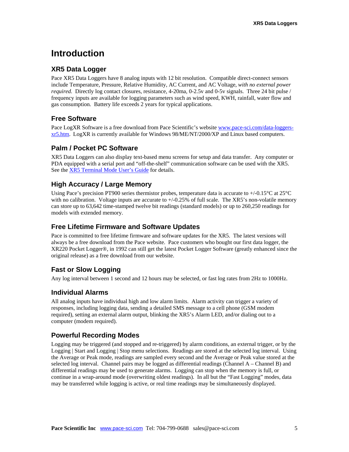## **Introduction**

### **XR5 Data Logger**

Pace XR5 Data Loggers have 8 analog inputs with 12 bit resolution. Compatible direct-connect sensors include Temperature, Pressure, Relative Humidity, AC Current, and AC Voltage, *with no external power required.* Directly log contact closures, resistance, 4-20ma, 0-2.5v and 0-5v signals. Three 24 bit pulse / frequency inputs are available for logging parameters such as wind speed, KWH, rainfall, water flow and gas consumption. Battery life exceeds 2 years for typical applications.

### **Free Software**

Pace LogXR Software is a free download from Pace Scientific's website [www.pace-sci.com/data-loggers](http://www.pace-sci.com/data-loggers-xr5.htm)[xr5.htm](http://www.pace-sci.com/data-loggers-xr5.htm). LogXR is currently available for Windows 98/ME/NT/2000/XP and Linux based computers.

### **Palm / Pocket PC Software**

XR5 Data Loggers can also display text-based menu screens for setup and data transfer. Any computer or PDA equipped with a serial port and "off-the-shelf" communication software can be used with the XR5. See the [XR5 Terminal Mode User's Guide](http://www.pace-sci.com/XR5-SE-Terminal-Mode.pdf) for details.

### **High Accuracy / Large Memory**

Using Pace's precision PT900 series thermistor probes, temperature data is accurate to +/-0.15°C at 25°C with no calibration. Voltage inputs are accurate to  $+/-0.25\%$  of full scale. The XR5's non-volatile memory can store up to 63,642 time-stamped twelve bit readings (standard models) or up to 260,250 readings for models with extended memory.

### **Free Lifetime Firmware and Software Updates**

Pace is committed to free lifetime firmware and software updates for the XR5. The latest versions will always be a free download from the Pace website. Pace customers who bought our first data logger, the XR220 Pocket Logger®, in 1992 can still get the latest Pocket Logger Software (greatly enhanced since the original release) as a free download from our website.

### **Fast or Slow Logging**

Any log interval between 1 second and 12 hours may be selected, or fast log rates from 2Hz to 1000Hz.

### **Individual Alarms**

All analog inputs have individual high and low alarm limits. Alarm activity can trigger a variety of responses, including logging data, sending a detailed SMS message to a cell phone (GSM modem required), setting an external alarm output, blinking the XR5's Alarm LED, and/or dialing out to a computer (modem required).

### **Powerful Recording Modes**

Logging may be triggered (and stopped and re-triggered) by alarm conditions, an external trigger, or by the Logging | Start and Logging | Stop menu selections. Readings are stored at the selected log interval. Using the Average or Peak mode, readings are sampled every second and the Average or Peak value stored at the selected log interval. Channel pairs may be logged as differential readings (Channel A – Channel B) and differential readings may be used to generate alarms. Logging can stop when the memory is full, or continue in a wrap-around mode (overwriting oldest readings). In all but the "Fast Logging" modes, data may be transferred while logging is active, or real time readings may be simultaneously displayed.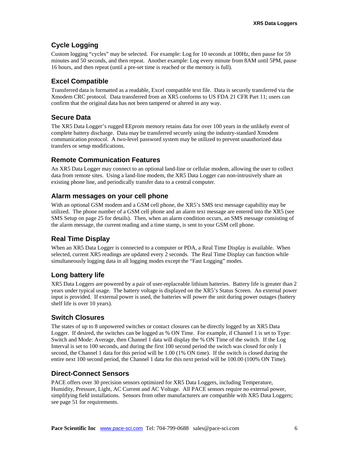## **Cycle Logging**

Custom logging "cycles" may be selected. For example: Log for 10 seconds at 100Hz, then pause for 59 minutes and 50 seconds, and then repeat. Another example: Log every minute from 8AM until 5PM, pause 16 hours, and then repeat (until a pre-set time is reached or the memory is full).

## **Excel Compatible**

Transferred data is formatted as a readable, Excel compatible text file. Data is securely transferred via the Xmodem CRC protocol. Data transferred from an XR5 conforms to US FDA 21 CFR Part 11; users can confirm that the original data has not been tampered or altered in any way.

### **Secure Data**

The XR5 Data Logger's rugged EEprom memory retains data for over 100 years in the unlikely event of complete battery discharge. Data may be transferred securely using the industry-standard Xmodem communication protocol. A two-level password system may be utilized to prevent unauthorized data transfers or setup modifications.

### **Remote Communication Features**

An XR5 Data Logger may connect to an optional land-line or cellular modem, allowing the user to collect data from remote sites. Using a land-line modem, the XR5 Data Logger can non-intrusively share an existing phone line, and periodically transfer data to a central computer.

### **Alarm messages on your cell phone**

With an optional GSM modem and a GSM cell phone, the XR5's SMS text message capability may be utilized. The phone number of a GSM cell phone and an alarm text message are entered into the XR5 (see SMS Setup on page 25 for details). Then, when an alarm condition occurs, an SMS message consisting of the alarm message, the current reading and a time stamp, is sent to your GSM cell phone.

## **Real Time Display**

When an XR5 Data Logger is connected to a computer or PDA, a Real Time Display is available. When selected, current XR5 readings are updated every 2 seconds. The Real Time Display can function while simultaneously logging data in all logging modes except the "Fast Logging" modes.

## **Long battery life**

XR5 Data Loggers are powered by a pair of user-replaceable lithium batteries. Battery life is greater than 2 years under typical usage. The battery voltage is displayed on the XR5's Status Screen. An external power input is provided. If external power is used, the batteries will power the unit during power outages (battery shelf life is over 10 years).

## **Switch Closures**

The states of up to 8 unpowered switches or contact closures can be directly logged by an XR5 Data Logger. If desired, the switches can be logged as % ON Time. For example, if Channel 1 is set to Type: Switch and Mode: Average, then Channel 1 data will display the % ON Time of the switch. If the Log Interval is set to 100 seconds, and during the first 100 second period the switch was closed for only 1 second, the Channel 1 data for this period will be 1.00 (1% ON time). If the switch is closed during the entire next 100 second period, the Channel 1 data for this next period will be 100.00 (100% ON Time).

### **Direct-Connect Sensors**

PACE offers over 30 precision sensors optimized for XR5 Data Loggers, including Temperature, Humidity, Pressure, Light, AC Current and AC Voltage. All PACE sensors require no external power, simplifying field installations. Sensors from other manufacturers are compatible with XR5 Data Loggers; see page 51 for requirements.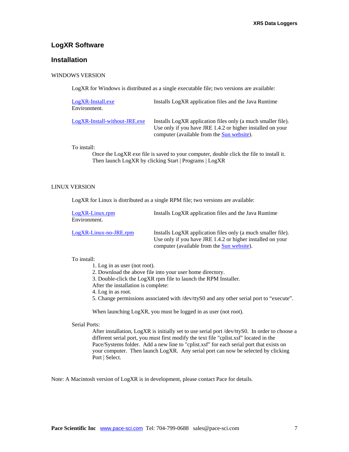### **LogXR Software**

### **Installation**

#### WINDOWS VERSION

LogXR for Windows is distributed as a single executable file; two versions are available:

| LogXR-Install.exe<br>Environment. | Installs LogXR application files and the Java Runtime                                                                                                                            |
|-----------------------------------|----------------------------------------------------------------------------------------------------------------------------------------------------------------------------------|
| LogXR-Install-without-JRE.exe     | Installs LogXR application files only (a much smaller file).<br>Use only if you have JRE 1.4.2 or higher installed on your<br>computer (available from the <b>Sun website</b> ). |

To install:

Once the LogXR exe file is saved to your computer, double click the file to install it. Then launch LogXR by clicking Start | Programs | LogXR

#### LINUX VERSION

LogXR for Linux is distributed as a single RPM file; two versions are available:

| LogXR-Linux.rpm<br>Environment. | Installs LogXR application files and the Java Runtime                                                                                                                           |
|---------------------------------|---------------------------------------------------------------------------------------------------------------------------------------------------------------------------------|
| $LogXR$ -Linux-no-JRE.rpm       | Installs LogXR application files only (a much smaller file).<br>Use only if you have JRE 1.4.2 or higher installed on your<br>computer (available from the <b>Sun</b> website). |

#### To install:

1. Log in as user (not root).

- 2. Download the above file into your user home directory.
- 3. Double-click the LogXR rpm file to launch the RPM Installer.
- After the installation is complete:

4. Log in as root.

5. Change permissions associated with /dev/ttyS0 and any other serial port to "execute".

When launching LogXR, you must be logged in as user (not root).

#### Serial Ports:

After installation, LogXR is initially set to use serial port /dev/ttyS0. In order to choose a different serial port, you must first modify the text file "cplist.xsf" located in the Pace/Systems folder. Add a new line to "cplist.xsf" for each serial port that exists on your computer. Then launch LogXR. Any serial port can now be selected by clicking Port | Select.

Note: A Macintosh version of LogXR is in development, please contact Pace for details.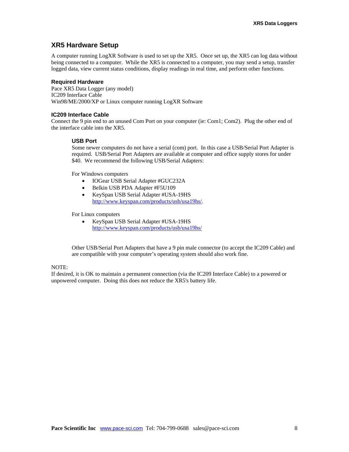### **XR5 Hardware Setup**

A computer running LogXR Software is used to set up the XR5. Once set up, the XR5 can log data without being connected to a computer. While the XR5 is connected to a computer, you may send a setup, transfer logged data, view current status conditions, display readings in real time, and perform other functions.

#### **Required Hardware**

Pace XR5 Data Logger (any model) IC209 Interface Cable Win98/ME/2000/XP or Linux computer running LogXR Software

#### **IC209 Interface Cable**

Connect the 9 pin end to an unused Com Port on your computer (ie: Com1; Com2). Plug the other end of the interface cable into the XR5.

#### **USB Port**

Some newer computers do not have a serial (com) port. In this case a USB/Serial Port Adapter is required. USB/Serial Port Adapters are available at computer and office supply stores for under \$40. We recommend the following USB/Serial Adapters:

For Windows computers

- IOGear USB Serial Adapter #GUC232A
- Belkin USB PDA Adapter #F5U109
- KeySpan USB Serial Adapter #USA-19HS <http://www.keyspan.com/products/usb/usa19hs/>.

For Linux computers

• KeySpan USB Serial Adapter #USA-19HS <http://www.keyspan.com/products/usb/usa19hs/>

Other USB/Serial Port Adapters that have a 9 pin male connector (to accept the IC209 Cable) and are compatible with your computer's operating system should also work fine.

#### NOTE:

If desired, it is OK to maintain a permanent connection (via the IC209 Interface Cable) to a powered or unpowered computer. Doing this does not reduce the XR5's battery life.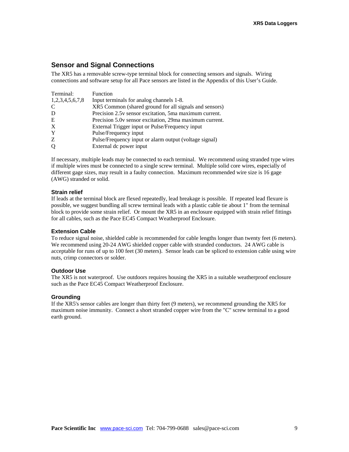### **Sensor and Signal Connections**

The XR5 has a removable screw-type terminal block for connecting sensors and signals. Wiring connections and software setup for all Pace sensors are listed in the Appendix of this User's Guide.

| Terminal:       | Function                                                |
|-----------------|---------------------------------------------------------|
| 1,2,3,4,5,6,7,8 | Input terminals for analog channels 1-8.                |
| C               | XR5 Common (shared ground for all signals and sensors)  |
| D               | Precision 2.5y sensor excitation, 5ma maximum current.  |
| E               | Precision 5.0y sensor excitation, 29ma maximum current. |
| X               | External Trigger input or Pulse/Frequency input         |
| Y               | Pulse/Frequency input                                   |
| Z               | Pulse/Frequency input or alarm output (voltage signal)  |
| Q               | External dc power input                                 |

If necessary, multiple leads may be connected to each terminal. We recommend using stranded type wires if multiple wires must be connected to a single screw terminal. Multiple solid core wires, especially of different gage sizes, may result in a faulty connection. Maximum recommended wire size is 16 gage (AWG) stranded or solid.

#### **Strain relief**

If leads at the terminal block are flexed repeatedly, lead breakage is possible. If repeated lead flexure is possible, we suggest bundling all screw terminal leads with a plastic cable tie about 1" from the terminal block to provide some strain relief. Or mount the XR5 in an enclosure equipped with strain relief fittings for all cables, such as the Pace EC45 Compact Weatherproof Enclosure.

#### **Extension Cable**

To reduce signal noise, shielded cable is recommended for cable lengths longer than twenty feet (6 meters). We recommend using 20-24 AWG shielded copper cable with stranded conductors. 24 AWG cable is acceptable for runs of up to 100 feet (30 meters). Sensor leads can be spliced to extension cable using wire nuts, crimp connectors or solder.

#### **Outdoor Use**

The XR5 is not waterproof. Use outdoors requires housing the XR5 in a suitable weatherproof enclosure such as the Pace EC45 Compact Weatherproof Enclosure.

#### **Grounding**

If the XR5's sensor cables are longer than thirty feet (9 meters), we recommend grounding the XR5 for maximum noise immunity. Connect a short stranded copper wire from the "C" screw terminal to a good earth ground.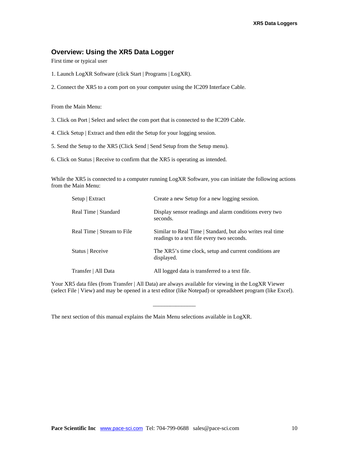### **Overview: Using the XR5 Data Logger**

First time or typical user

- 1. Launch LogXR Software (click Start | Programs | LogXR).
- 2. Connect the XR5 to a com port on your computer using the IC209 Interface Cable.

From the Main Menu:

- 3. Click on Port | Select and select the com port that is connected to the IC209 Cable.
- 4. Click Setup | Extract and then edit the Setup for your logging session.
- 5. Send the Setup to the XR5 (Click Send | Send Setup from the Setup menu).
- 6. Click on Status | Receive to confirm that the XR5 is operating as intended.

While the XR5 is connected to a computer running LogXR Software, you can initiate the following actions from the Main Menu:

| Setup   Extract            | Create a new Setup for a new logging session.                                                            |
|----------------------------|----------------------------------------------------------------------------------------------------------|
| Real Time   Standard       | Display sensor readings and alarm conditions every two<br>seconds.                                       |
| Real Time   Stream to File | Similar to Real Time   Standard, but also writes real time<br>readings to a text file every two seconds. |
| Status   Receive           | The XR5's time clock, setup and current conditions are<br>displayed.                                     |
| Transfer   All Data        | All logged data is transferred to a text file.                                                           |

Your XR5 data files (from Transfer | All Data) are always available for viewing in the LogXR Viewer (select File | View) and may be opened in a text editor (like Notepad) or spreadsheet program (like Excel).

\_\_\_\_\_\_\_\_\_\_\_\_\_\_\_

The next section of this manual explains the Main Menu selections available in LogXR.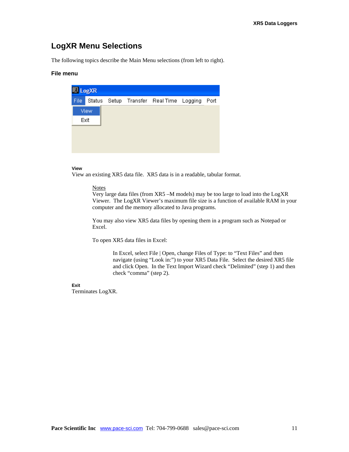## **LogXR Menu Selections**

The following topics describe the Main Menu selections (from left to right).

### **File menu**

| <b>A</b> LogXR |      |  |                                              |  |
|----------------|------|--|----------------------------------------------|--|
| File           |      |  | Status Setup Transfer Real Time Logging Port |  |
|                | View |  |                                              |  |
| Exit           |      |  |                                              |  |
|                |      |  |                                              |  |
|                |      |  |                                              |  |
|                |      |  |                                              |  |

#### **View**

View an existing XR5 data file. XR5 data is in a readable, tabular format.

#### **Notes**

Very large data files (from XR5 –M models) may be too large to load into the LogXR Viewer. The LogXR Viewer's maximum file size is a function of available RAM in your computer and the memory allocated to Java programs.

You may also view XR5 data files by opening them in a program such as Notepad or Excel.

To open XR5 data files in Excel:

In Excel, select File | Open, change Files of Type: to "Text Files" and then navigate (using "Look in:") to your XR5 Data File. Select the desired XR5 file and click Open. In the Text Import Wizard check "Delimited" (step 1) and then check "comma" (step 2).

### **Exit**

Terminates LogXR.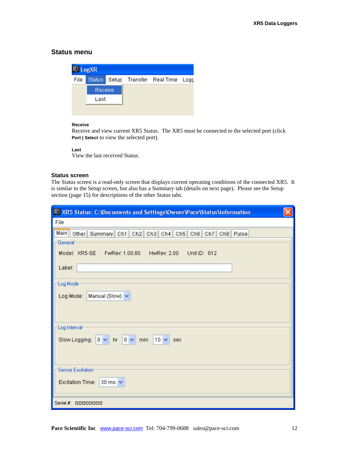### **Status menu**

| $\lambda$ LogXR |         |  |                                      |  |
|-----------------|---------|--|--------------------------------------|--|
| File            |         |  | Status Setup Transfer Real Time Logg |  |
|                 | Receive |  |                                      |  |
|                 | Last    |  |                                      |  |
|                 |         |  |                                      |  |

#### **Receive**

Receive and view current XR5 Status. The XR5 must be connected to the selected port (click **Port | Select** to view the selected port).

#### **Last**

View the last received Status.

#### **Status screen**

The Status screen is a read-only screen that displays current operating conditions of the connected XR5. It is similar to the Setup screen, but also has a Summary tab (details on next page). Please see the Setup section (page 15) for descriptions of the other Status tabs.

| XR5 Status: C: Documents and Settings\Owner\Pace\Status\information                                                             |
|---------------------------------------------------------------------------------------------------------------------------------|
| File                                                                                                                            |
| Main Other Summary Ch1 Ch2 Ch3 Ch4 Ch5 Ch6 Ch7 Ch8 Pulse<br>General<br>Model: XR5-SE  FwRev: 1.00.80  HwRev: 2.00  Unit ID: 012 |
| Label:                                                                                                                          |
| Log Mode-                                                                                                                       |
| Manual (Slow) $\blacktriangleright$<br>Log Mode:                                                                                |
| Log Interval-                                                                                                                   |
| $10 \vee$ sec<br>Slow Logging: $0 \vee \mathbf{hr}$ o $\vee$<br>min                                                             |
| <b>Sensor Excitation:</b>                                                                                                       |
| Excitation Time:<br>30 ms $\sim$                                                                                                |
| Serial $\#$ : $\Box$ $\Box$ $\Box$ $\Box$ $\Box$ $\Box$ $\Box$                                                                  |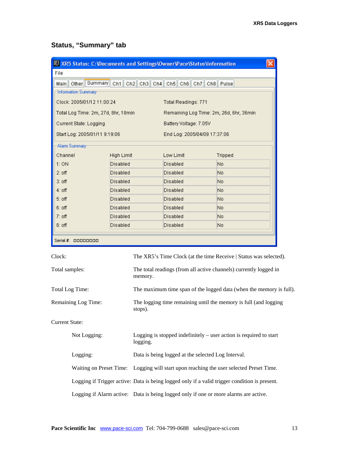# **Status, "Summary" tab**

| XR5 Status: C: Documents and Settings\Owner\Pace\Status\information |                                                                                            |                                                                              |                                                                                               |  |
|---------------------------------------------------------------------|--------------------------------------------------------------------------------------------|------------------------------------------------------------------------------|-----------------------------------------------------------------------------------------------|--|
| File                                                                |                                                                                            |                                                                              |                                                                                               |  |
| Other Summary Ch1 Ch2 Ch3 Ch4 Ch5 Ch6 Ch7 Ch8 Pulse<br>Main         |                                                                                            |                                                                              |                                                                                               |  |
| Information Summary-                                                |                                                                                            |                                                                              |                                                                                               |  |
| Clock: 2005/01/12 11:00:24                                          |                                                                                            | Total Readings: 771                                                          |                                                                                               |  |
| Total Log Time: 2m, 27d, 8hr, 18min.                                |                                                                                            |                                                                              | Remaining Log Time: 2m, 26d, 6hr, 36min                                                       |  |
| <b>Current State: Logging</b>                                       |                                                                                            | Battery Voltage: 7.05V                                                       |                                                                                               |  |
| Start Log: 2005/01/11 9:19:06                                       |                                                                                            | End Log: 2005/04/09 17:37:06                                                 |                                                                                               |  |
| Alarm Summary-                                                      |                                                                                            |                                                                              |                                                                                               |  |
| Channel                                                             | High Limit                                                                                 | Low Limit                                                                    | <b>Tripped</b>                                                                                |  |
| 1:ON<br>Disabled                                                    |                                                                                            | Disabled                                                                     | No                                                                                            |  |
| $2:$ off<br>Disabled                                                |                                                                                            | Disabled                                                                     | No                                                                                            |  |
| $3:$ off<br>Disabled                                                |                                                                                            | Disabled                                                                     | No                                                                                            |  |
| $4:$ off<br>Disabled                                                |                                                                                            | Disabled                                                                     | No                                                                                            |  |
| $5:$ off<br>Disabled                                                |                                                                                            | Disabled                                                                     | No                                                                                            |  |
| $6:$ off<br>Disabled                                                |                                                                                            | Disabled                                                                     | No                                                                                            |  |
| $7:$ off<br>Disabled                                                |                                                                                            | Disabled                                                                     | No                                                                                            |  |
| Disabled<br>$8:$ off                                                |                                                                                            | Disabled                                                                     | No                                                                                            |  |
| Serial #: 00000000                                                  |                                                                                            |                                                                              |                                                                                               |  |
| Clock:                                                              |                                                                                            |                                                                              | The XR5's Time Clock (at the time Receive   Status was selected).                             |  |
|                                                                     |                                                                                            |                                                                              |                                                                                               |  |
| Total samples:                                                      |                                                                                            | The total readings (from all active channels) currently logged in<br>memory. |                                                                                               |  |
| Total Log Time:                                                     |                                                                                            | The maximum time span of the logged data (when the memory is full).          |                                                                                               |  |
| <b>Remaining Log Time:</b>                                          | stops).                                                                                    | The logging time remaining until the memory is full (and logging             |                                                                                               |  |
| <b>Current State:</b>                                               |                                                                                            |                                                                              |                                                                                               |  |
| Not Logging:                                                        | Logging is stopped indefinitely $-$ user action is required to start<br>logging.           |                                                                              |                                                                                               |  |
| Logging:                                                            | Data is being logged at the selected Log Interval.                                         |                                                                              |                                                                                               |  |
|                                                                     | Waiting on Preset Time:<br>Logging will start upon reaching the user selected Preset Time. |                                                                              |                                                                                               |  |
|                                                                     |                                                                                            |                                                                              |                                                                                               |  |
|                                                                     |                                                                                            |                                                                              | Logging if Trigger active: Data is being logged only if a valid trigger condition is present. |  |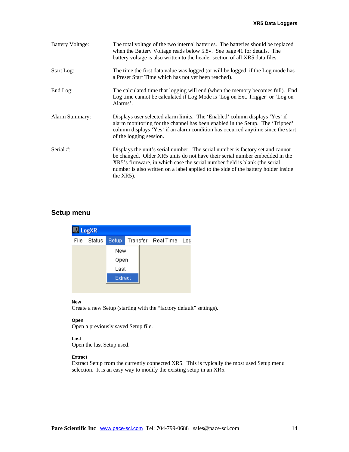| <b>Battery Voltage:</b> | The total voltage of the two internal batteries. The batteries should be replaced<br>when the Battery Voltage reads below 5.8v. See page 41 for details. The<br>battery voltage is also written to the header section of all XR5 data files.                                                                                                      |
|-------------------------|---------------------------------------------------------------------------------------------------------------------------------------------------------------------------------------------------------------------------------------------------------------------------------------------------------------------------------------------------|
| Start Log:              | The time the first data value was logged (or will be logged, if the Log mode has<br>a Preset Start Time which has not yet been reached).                                                                                                                                                                                                          |
| End Log:                | The calculated time that logging will end (when the memory becomes full). End<br>Log time cannot be calculated if Log Mode is 'Log on Ext. Trigger' or 'Log on<br>Alarms'.                                                                                                                                                                        |
| Alarm Summary:          | Displays user selected alarm limits. The 'Enabled' column displays 'Yes' if<br>alarm monitoring for the channel has been enabled in the Setup. The 'Tripped'<br>column displays 'Yes' if an alarm condition has occurred anytime since the start<br>of the logging session.                                                                       |
| Serial #:               | Displays the unit's serial number. The serial number is factory set and cannot<br>be changed. Older XR5 units do not have their serial number embedded in the<br>XR5's firmware, in which case the serial number field is blank (the serial<br>number is also written on a label applied to the side of the battery holder inside<br>the $XR5$ ). |

### **Setup menu**

| <b>ALogXR</b> |        |         |  |                        |  |
|---------------|--------|---------|--|------------------------|--|
| File          | Status | Setup   |  | Transfer Real Time Log |  |
|               |        | New     |  |                        |  |
|               |        | Open    |  |                        |  |
|               |        | Last    |  |                        |  |
|               |        | Extract |  |                        |  |
|               |        |         |  |                        |  |

#### **New**

Create a new Setup (starting with the "factory default" settings).

#### **Open**

Open a previously saved Setup file.

#### **Last**

Open the last Setup used.

#### **Extract**

Extract Setup from the currently connected XR5. This is typically the most used Setup menu selection. It is an easy way to modify the existing setup in an XR5.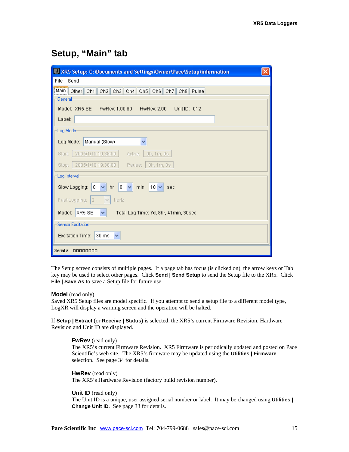## **Setup, "Main" tab**

| XR5 Setup: C:\Documents and Settings\Owner\Pace\Setup\information                        |  |  |
|------------------------------------------------------------------------------------------|--|--|
| File<br>Send                                                                             |  |  |
| Main   Other   Ch1   Ch2   Ch3   Ch4   Ch5   Ch6   Ch7   Ch8   Pulse                     |  |  |
| General                                                                                  |  |  |
| Model: XR5-SE<br>FwRev: 1.00.80<br>HwRev: 2.00<br>Unit ID: 012                           |  |  |
| Label:                                                                                   |  |  |
| Log Mode                                                                                 |  |  |
| Manual (Slow)<br>Log Mode:<br>v                                                          |  |  |
| 2005/1/10 19:38:00<br>0h, 1m, 0s<br>Start:<br>Active:                                    |  |  |
| 2005/1/10 19:38:00<br>Pause: 0h, 1m, 0s<br>Stop:                                         |  |  |
| Log Interval                                                                             |  |  |
| Slow Logging:<br>0<br>min<br>$10 \vee$<br>hr<br>0<br>$\checkmark$<br>$\checkmark$<br>sec |  |  |
| $\overline{2}$<br>Fast Logging:<br>hertz<br>$\vee$                                       |  |  |
| XR5-SE<br>Model:<br>Total Log Time: 7d, 8hr, 41min, 30sec<br>v                           |  |  |
| -Sensor Excitation:                                                                      |  |  |
| Excitation Time:<br>30 ms<br>v                                                           |  |  |
| Serial $\#$ : 00000000                                                                   |  |  |

The Setup screen consists of multiple pages. If a page tab has focus (is clicked on), the arrow keys or Tab key may be used to select other pages. Click **Send | Send Setup** to send the Setup file to the XR5. Click **File | Save As** to save a Setup file for future use.

#### **Model** (read only)

Saved XR5 Setup files are model specific. If you attempt to send a setup file to a different model type, LogXR will display a warning screen and the operation will be halted.

If **Setup | Extract** (or **Receive | Status**) is selected, the XR5's current Firmware Revision, Hardware Revision and Unit ID are displayed.

#### **FwRev** (read only)

The XR5's current Firmware Revision. XR5 Firmware is periodically updated and posted on Pace Scientific's web site. The XR5's firmware may be updated using the **Utilities | Firmware** selection. See page 34 for details.

**HwRev** (read only) The XR5's Hardware Revision (factory build revision number).

**Unit ID** (read only)

The Unit ID is a unique, user assigned serial number or label. It may be changed using **Utilities | Change Unit ID**. See page 33 for details.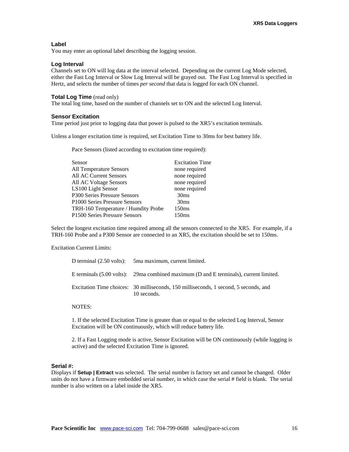### **Label**

You may enter an optional label describing the logging session.

### **Log Interval**

Channels set to ON will log data at the interval selected. Depending on the current Log Mode selected, either the Fast Log Interval or Slow Log Interval will be grayed out. The Fast Log Interval is specified in Hertz, and selects the number of times *per second* that data is logged for each ON channel.

#### **Total Log Time** (read only)

The total log time, based on the number of channels set to ON and the selected Log Interval.

#### **Sensor Excitation**

Time period just prior to logging data that power is pulsed to the XR5's excitation terminals.

Unless a longer excitation time is required, set Excitation Time to 30ms for best battery life.

Pace Sensors (listed according to excitation time required):

| Sensor                              | <b>Excitation Time</b> |
|-------------------------------------|------------------------|
| <b>All Temperature Sensors</b>      | none required          |
| All AC Current Sensors              | none required          |
| All AC Voltage Sensors              | none required          |
| LS100 Light Sensor                  | none required          |
| P300 Series Pressure Sensors        | 30 <sub>ms</sub>       |
| P1000 Series Pressure Sensors       | 30 <sub>ms</sub>       |
| TRH-160 Temperature / Humdity Probe | 150ms                  |
| P1500 Series Pressure Sensors       | 150 <sub>ms</sub>      |

Select the longest excitation time required among all the sensors connected to the XR5. For example, if a TRH-160 Probe and a P300 Sensor are connected to an XR5, the excitation should be set to 150ms.

Excitation Current Limits:

| D terminal (2.50 volts): 5ma maximum, current limited.                                              |
|-----------------------------------------------------------------------------------------------------|
| E terminals $(5.00 \text{ volts})$ : 29ma combined maximum (D and E terminals), current limited.    |
| Excitation Time choices: 30 milliseconds, 150 milliseconds, 1 second, 5 seconds, and<br>10 seconds. |

#### NOTES:

1. If the selected Excitation Time is greater than or equal to the selected Log Interval, Sensor Excitation will be ON continuously, which will reduce battery life.

2. If a Fast Logging mode is active, Sensor Excitation will be ON continuously (while logging is active) and the selected Excitation Time is ignored.

#### **Serial #:**

Displays if **Setup | Extract** was selected. The serial number is factory set and cannot be changed. Older units do not have a firmware embedded serial number, in which case the serial # field is blank. The serial number is also written on a label inside the XR5.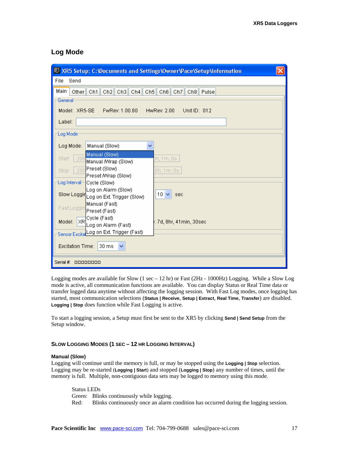### **Log Mode**

| XR5 Setup: C:\Documents and Settings\Owner\Pace\Setup\information                                                     |  |  |  |
|-----------------------------------------------------------------------------------------------------------------------|--|--|--|
| File<br>Send                                                                                                          |  |  |  |
| Main<br>Other Ch1 Ch2 Ch3 Ch4 Ch5 Ch6 Ch7 Ch8 Pulse                                                                   |  |  |  |
| General                                                                                                               |  |  |  |
| Model: XR5-SE<br>FwRev: 1.00.80<br>HwRev: 2.00<br>Unit ID: 012                                                        |  |  |  |
| Label:                                                                                                                |  |  |  |
| Log Mode                                                                                                              |  |  |  |
| Log Mode:<br>Manual (Slow)<br>v                                                                                       |  |  |  |
| Manual (Slow)<br>200<br>0h, 1 m, 0s.<br>Start:<br>Manual /Wrap (Slow)<br>Preset (Slow)<br>200<br>Stop:<br>0h, 1m, 0s. |  |  |  |
| Preset /Wrap (Slow)<br>Log Interval Cycle (Slow)<br>Log on Alarm (Slow)                                               |  |  |  |
| $10 \vee$<br>Slow Loggin Log on Ext. Trigger (Slow)<br>sec<br>Manual (Fast)<br>Fast Loggin Preset (Fast)              |  |  |  |
| Cycle (Fast)<br>Model: XR<br>: 7d, 8hr, 41min, 30sec<br>Log on Alarm (Fast)                                           |  |  |  |
| Sensor ExcitatLog on Ext. Trigger (Fast)                                                                              |  |  |  |
| 30 ms<br>Excitation Time:<br>v                                                                                        |  |  |  |
| Serial $\#$ :<br>00000000                                                                                             |  |  |  |

Logging modes are available for Slow  $(1 \sec - 12 \text{ hr})$  or Fast  $(2Hz - 1000Hz)$  Logging. While a Slow Log mode is active, all communication functions are available. You can display Status or Real Time data or transfer logged data anytime without affecting the logging session. With Fast Log modes, once logging has started, most communication selections (**Status | Receive**, **Setup | Extract**, **Real Time**, **Transfer**) are disabled. **Logging | Stop** does function while Fast Logging is active.

To start a logging session, a Setup must first be sent to the XR5 by clicking **Send | Send Setup** from the Setup window.

#### **SLOW LOGGING MODES (1 SEC – 12 HR LOGGING INTERVAL)**

#### **Manual (Slow)**

Logging will continue until the memory is full, or may be stopped using the **Logging | Stop** selection. Logging may be re-started (**Logging | Start**) and stopped (**Logging | Stop**) any number of times, until the memory is full. Multiple, non-contiguous data sets may be logged to memory using this mode.

 Status LEDs Green: Blinks continuously while logging. Red: Blinks continuously once an alarm condition has occurred during the logging session.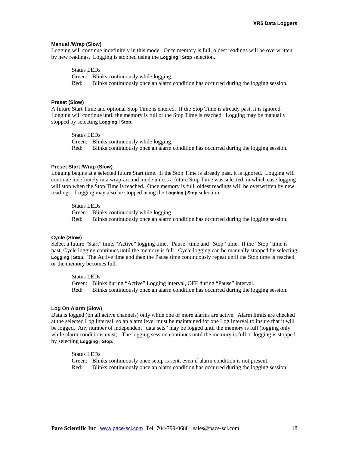#### **Manual /Wrap (Slow)**

Logging will continue indefinitely in this mode. Once memory is full, oldest readings will be overwritten by new readings. Logging is stopped using the **Logging | Stop** selection.

Status LEDs

Green: Blinks continuously while logging.

Red: Blinks continuously once an alarm condition has occurred during the logging session.

#### **Preset (Slow)**

A future Start Time and optional Stop Time is entered. If the Stop Time is already past, it is ignored. Logging will continue until the memory is full or the Stop Time is reached. Logging may be manually stopped by selecting **Logging | Stop**.

Status LEDs

Green: Blinks continuously while logging. Red: Blinks continuously once an alarm condition has occurred during the logging session.

#### **Preset Start /Wrap (Slow)**

Logging begins at a selected future Start time. If the Stop Time is already past, it is ignored. Logging will continue indefinitely in a wrap-around mode unless a future Stop Time was selected, in which case logging will stop when the Stop Time is reached. Once memory is full, oldest readings will be overwritten by new readings. Logging may also be stopped using the **Logging | Stop** selection.

Status LEDs

Green: Blinks continuously while logging. Red: Blinks continuously once an alarm condition has occurred during the logging session.

#### **Cycle (Slow)**

Select a future "Start" time, "Active" logging time, "Pause" time and "Stop" time. If the "Stop" time is past, Cycle logging continues until the memory is full. Cycle logging can be manually stopped by selecting **Logging | Stop**. The Active time and then the Pause time continuously repeat until the Stop time is reached or the memory becomes full.

Status LEDs

Green: Blinks during "Active" Logging interval, OFF during "Pause" interval. Red: Blinks continuously once an alarm condition has occurred during the logging session.

#### **Log On Alarm (Slow)**

Data is logged (on all active channels) only while one or more alarms are active. Alarm limits are checked at the selected Log Interval, so an alarm level must be maintained for one Log Interval to insure that it will be logged. Any number of independent "data sets" may be logged until the memory is full (logging only while alarm conditions exist). The logging session continues until the memory is full or logging is stopped by selecting **Logging | Stop**.

Status LEDs

Green: Blinks continuously once setup is sent, even if alarm condition is not present. Red: Blinks continuously once an alarm condition has occurred during the logging session.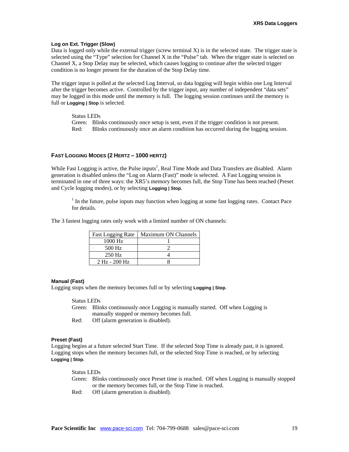#### **Log on Ext. Trigger (Slow)**

Data is logged only while the external trigger (screw terminal  $X$ ) is in the selected state. The trigger state is selected using the "Type" selection for Channel X in the "Pulse" tab. When the trigger state is selected on Channel X, a Stop Delay may be selected, which causes logging to continue after the selected trigger condition is no longer present for the duration of the Stop Delay time.

The trigger input is polled at the selected Log Interval, so data logging will begin within one Log Interval after the trigger becomes active. Controlled by the trigger input, any number of independent "data sets" may be logged in this mode until the memory is full. The logging session continues until the memory is full or **Logging | Stop** is selected.

 Status LEDs Green: Blinks continuously once setup is sent, even if the trigger condition is not present. Red: Blinks continuously once an alarm condition has occurred during the logging session.

#### **FAST LOGGING MODES (2 HERTZ – 1000 HERTZ)**

While Fast Logging is active, the Pulse inputs<sup>1</sup>, Real Time Mode and Data Transfers are disabled. Alarm generation is disabled unless the "Log on Alarm (Fast)" mode is selected. A Fast Logging session is terminated in one of three ways: the XR5's memory becomes full, the Stop Time has been reached (Preset and Cycle logging modes), or by selecting **Logging | Stop.** 

 $<sup>1</sup>$  In the future, pulse inputs may function when logging at some fast logging rates. Contact Pace</sup> for details.

The 3 fastest logging rates only work with a limited number of ON channels:

| <b>Fast Logging Rate</b> | Maximum ON Channels |
|--------------------------|---------------------|
| $1000$ Hz                |                     |
| 500 Hz                   |                     |
| $250$ Hz                 |                     |
| $2$ Hz - $200$ Hz        |                     |

#### **Manual (Fast)**

Logging stops when the memory becomes full or by selecting **Logging | Stop**.

#### Status LEDs

Green: Blinks continuously once Logging is manually started. Off when Logging is manually stopped or memory becomes full.

Red: Off (alarm generation is disabled).

#### **Preset (Fast)**

Logging begins at a future selected Start Time. If the selected Stop Time is already past, it is ignored. Logging stops when the memory becomes full, or the selected Stop Time is reached, or by selecting **Logging | Stop**.

Status LEDs

- Green: Blinks continuously once Preset time is reached. Off when Logging is manually stopped or the memory becomes full, or the Stop Time is reached.
- Red: Off (alarm generation is disabled).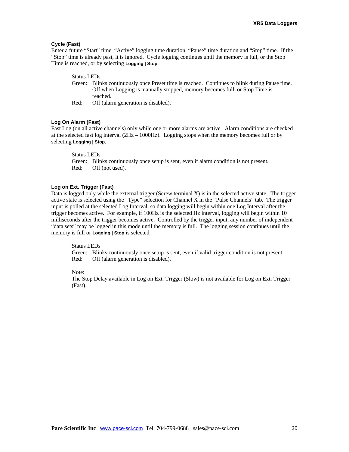#### **Cycle (Fast)**

Enter a future "Start" time, "Active" logging time duration, "Pause" time duration and "Stop" time. If the "Stop" time is already past, it is ignored. Cycle logging continues until the memory is full, or the Stop Time is reached, or by selecting **Logging | Stop**.

#### Status LEDs

- Green: Blinks continuously once Preset time is reached. Continues to blink during Pause time. Off when Logging is manually stopped, memory becomes full, or Stop Time is reached.
- Red: Off (alarm generation is disabled).

#### **Log On Alarm (Fast)**

Fast Log (on all active channels) only while one or more alarms are active. Alarm conditions are checked at the selected fast log interval (2Hz – 1000Hz). Logging stops when the memory becomes full or by selecting **Logging | Stop**.

#### Status LEDs

Green: Blinks continuously once setup is sent, even if alarm condition is not present. Red: Off (not used).

#### **Log on Ext. Trigger (Fast)**

Data is logged only while the external trigger (Screw terminal X) is in the selected active state. The trigger active state is selected using the "Type" selection for Channel X in the "Pulse Channels" tab. The trigger input is polled at the selected Log Interval, so data logging will begin within one Log Interval after the trigger becomes active. For example, if 100Hz is the selected Hz interval, logging will begin within 10 milliseconds after the trigger becomes active. Controlled by the trigger input, any number of independent "data sets" may be logged in this mode until the memory is full. The logging session continues until the memory is full or **Logging | Stop** is selected.

#### Status LEDs

Green: Blinks continuously once setup is sent, even if valid trigger condition is not present. Red: Off (alarm generation is disabled).

Note:

The Stop Delay available in Log on Ext. Trigger (Slow) is not available for Log on Ext. Trigger (Fast).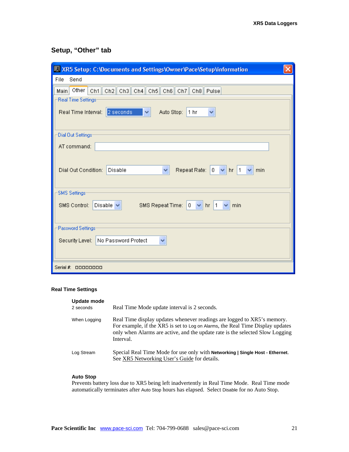## **Setup, "Other" tab**

| XR5 Setup: C:\Documents and Settings\Owner\Pace\Setup\information                                |  |  |
|--------------------------------------------------------------------------------------------------|--|--|
| File<br>Send                                                                                     |  |  |
| Ch1 Ch2 Ch3 Ch4 Ch5 Ch6 Ch7 Ch8 Pulse<br>Other<br>Main                                           |  |  |
| Real Time Settings:                                                                              |  |  |
| Real Time Interval: 2 seconds<br>Auto Stop:<br>1 hr<br>×<br>v                                    |  |  |
|                                                                                                  |  |  |
| Dial Out Settings:                                                                               |  |  |
| AT command:                                                                                      |  |  |
|                                                                                                  |  |  |
| Dial Out Condition:<br>Repeat Rate:<br>$0 \sqrt{\frac{m}{2}}$ hr   1<br>Disable<br>v<br>min<br>× |  |  |
|                                                                                                  |  |  |
| <b>SMS</b> Settings:                                                                             |  |  |
| SMS Control:<br>Disable $\vee$<br>$\,0\,$<br>SMS Repeat Time:<br>$\checkmark$<br>$hr$   1<br>min |  |  |
|                                                                                                  |  |  |
| Password Settings:                                                                               |  |  |
| Security Level: No Password Protect<br>v                                                         |  |  |
|                                                                                                  |  |  |
|                                                                                                  |  |  |
| Serial #: 00000000                                                                               |  |  |

### **Real Time Settings**

| Update mode<br>2 seconds | Real Time Mode update interval is 2 seconds.                                                                                                                                                                                                            |
|--------------------------|---------------------------------------------------------------------------------------------------------------------------------------------------------------------------------------------------------------------------------------------------------|
| When Logging             | Real Time display updates whenever readings are logged to XR5's memory.<br>For example, if the XR5 is set to Log on Alarms, the Real Time Display updates<br>only when Alarms are active, and the update rate is the selected Slow Logging<br>Interval. |
| Log Stream               | Special Real Time Mode for use only with <b>Networking   Single Host - Ethernet.</b><br>See XR5 Networking User's Guide for details.                                                                                                                    |

### **Auto Stop**

Prevents battery loss due to XR5 being left inadvertently in Real Time Mode. Real Time mode automatically terminates after Auto Stop hours has elapsed. Select Disable for no Auto Stop.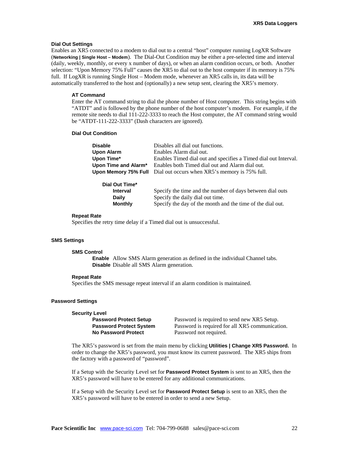#### **Dial Out Settings**

Enables an XR5 connected to a modem to dial out to a central "host" computer running LogXR Software (**Networking | Single Host – Modem**). The Dial-Out Condition may be either a pre-selected time and interval (daily, weekly, monthly, or every x number of days), or when an alarm condition occurs, or both. Another selection: "Upon Memory 75% Full" causes the XR5 to dial out to the host computer if its memory is 75% full. If LogXR is running Single Host – Modem mode, whenever an XR5 calls in, its data will be automatically transferred to the host and (optionally) a new setup sent, clearing the XR5's memory.

#### **AT Command**

Enter the AT command string to dial the phone number of Host computer. This string begins with "ATDT" and is followed by the phone number of the host computer's modem. For example, if the remote site needs to dial 111-222-3333 to reach the Host computer, the AT command string would be "ATDT-111-222-3333" (Dash characters are ignored).

#### **Dial Out Condition**

| <b>Disable</b>       | Disables all dial out functions.                                           |
|----------------------|----------------------------------------------------------------------------|
| <b>Upon Alarm</b>    | Enables Alarm dial out.                                                    |
| Upon Time*           | Enables Timed dial out and specifies a Timed dial out Interval.            |
| Upon Time and Alarm* | Enables both Timed dial out and Alarm dial out.                            |
|                      | <b>Upon Memory 75% Full</b> Dial out occurs when XR5's memory is 75% full. |
| Dial Out Time*       |                                                                            |

| PIGI VUL TIIIIG |                                                            |
|-----------------|------------------------------------------------------------|
| <b>Interval</b> | Specify the time and the number of days between dial outs  |
| Daily           | Specify the daily dial out time.                           |
| <b>Monthly</b>  | Specify the day of the month and the time of the dial out. |
|                 |                                                            |

#### **Repeat Rate**

Specifies the retry time delay if a Timed dial out is unsuccessful.

#### **SMS Settings**

#### **SMS Control**

**Enable** Allow SMS Alarm generation as defined in the individual Channel tabs. **Disable** Disable all SMS Alarm generation.

#### **Repeat Rate**

Specifies the SMS message repeat interval if an alarm condition is maintained.

#### **Password Settings**

#### **Security Level**

 **No Password Protect** Password not required.

**Password Protect Setup** Password is required to send new XR5 Setup. **Password Protect System** Password is required for all XR5 communication.

The XR5's password is set from the main menu by clicking **Utilities | Change XR5 Password.** In order to change the XR5's password, you must know its current password. The XR5 ships from the factory with a password of "password".

If a Setup with the Security Level set for **Password Protect System** is sent to an XR5, then the XR5's password will have to be entered for any additional communications.

If a Setup with the Security Level set for **Password Protect Setup** is sent to an XR5, then the XR5's password will have to be entered in order to send a new Setup.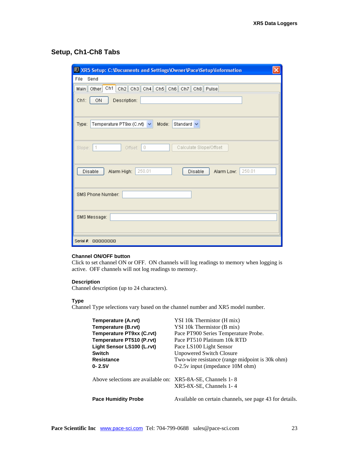## **Setup, Ch1-Ch8 Tabs**

| $\times$<br>XR5 Setup: C:\Documents and Settings\Owner\Pace\Setup\information  |
|--------------------------------------------------------------------------------|
| File<br>Send                                                                   |
| Ch1<br>Ch2 Ch3 Ch4 Ch5 Ch6 Ch7 Ch8 Pulse<br>Main Other                         |
| Ch1:<br>ON<br>Description:                                                     |
| Temperature PT9xx (C.rvt)<br>Mode:<br>Standard $\vee$<br>Type:<br>$\checkmark$ |
| $\,0\,$<br>Calculate Slope/Offset<br>Slope: $ 1$<br>Offset:                    |
| 250.01<br>250.01<br>Disable<br>Alarm High:<br>Disable<br>Alarm Low:            |
| SMS Phone Number:                                                              |
| SMS Message:                                                                   |
| Serial $\#$ : 00000000                                                         |

#### **Channel ON/OFF button**

Click to set channel ON or OFF. ON channels will log readings to memory when logging is active. OFF channels will not log readings to memory.

#### **Description**

Channel description (up to 24 characters).

#### **Type**

Channel Type selections vary based on the channel number and XR5 model number.

| Temperature (A.rvt)                                        | YSI 10k Thermistor (H mix)                              |
|------------------------------------------------------------|---------------------------------------------------------|
| Temperature (B.rvt)                                        | YSI 10k Thermistor (B mix)                              |
| Temperature PT9xx (C.rvt)                                  | Pace PT900 Series Temperature Probe.                    |
| Temperature PT510 (P.rvt)                                  | Pace PT510 Platinum 10k RTD                             |
| Light Sensor LS100 (L.rvt)                                 | Pace LS100 Light Sensor                                 |
| <b>Switch</b>                                              | <b>Unpowered Switch Closure</b>                         |
| <b>Resistance</b>                                          | Two-wire resistance (range midpoint is 30k ohm)         |
| $0 - 2.5V$                                                 | $0-2.5v$ input (impedance 10M ohm)                      |
| Above selections are available on: XR5-8A-SE, Channels 1-8 |                                                         |
|                                                            | $XR5-8X-SE$ , Channels 1-4                              |
| <b>Pace Humidity Probe</b>                                 | Available on certain channels, see page 43 for details. |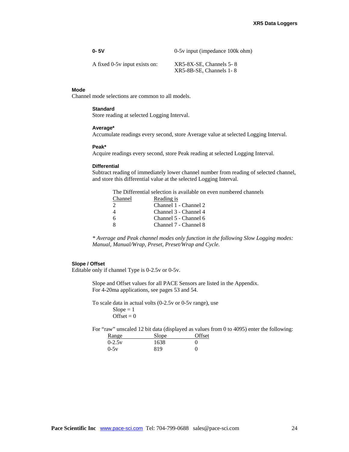| $0 - 5V$                      | 0-5y input (impedance 100k ohm)                       |
|-------------------------------|-------------------------------------------------------|
| A fixed 0-5y input exists on: | $XR5-8X-SE$ , Channels 5-8<br>XR5-8B-SE, Channels 1-8 |

#### **Mode**

Channel mode selections are common to all models.

#### **Standard**

Store reading at selected Logging Interval.

#### **Average\***

Accumulate readings every second, store Average value at selected Logging Interval.

#### **Peak\***

Acquire readings every second, store Peak reading at selected Logging Interval.

#### **Differential**

Subtract reading of immediately lower channel number from reading of selected channel, and store this differential value at the selected Logging Interval.

The Differential selection is available on even numbered channels Channel Reading is 2 Channel 1 - Channel 2<br>4 Channel 3 - Channel 4 4 Channel 3 - Channel 4 6 Channel 5 - Channel 6 8 Channel 7 - Channel 8

*\* Average and Peak channel modes only function in the following Slow Logging modes: Manual, Manual/Wrap, Preset, Preset/Wrap and Cycle.* 

#### **Slope / Offset**

Editable only if channel Type is 0-2.5v or 0-5v.

Slope and Offset values for all PACE Sensors are listed in the Appendix. For 4-20ma applications, see pages 53 and 54.

To scale data in actual volts (0-2.5v or 0-5v range), use

 $Slope = 1$ Offset =  $0$ 

For "raw" unscaled 12 bit data (displayed as values from 0 to 4095) enter the following:

| Range    | Slope | Offset |
|----------|-------|--------|
| $0-2.5v$ | 1638  |        |
| $0-5v$   | 819   |        |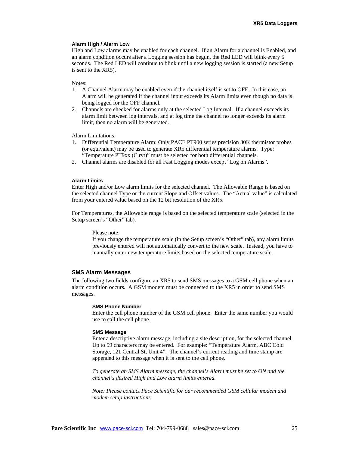#### **Alarm High / Alarm Low**

High and Low alarms may be enabled for each channel. If an Alarm for a channel is Enabled, and an alarm condition occurs after a Logging session has begun, the Red LED will blink every 5 seconds. The Red LED will continue to blink until a new logging session is started (a new Setup is sent to the XR5).

Notes:

- 1. A Channel Alarm may be enabled even if the channel itself is set to OFF. In this case, an Alarm will be generated if the channel input exceeds its Alarm limits even though no data is being logged for the OFF channel.
- 2. Channels are checked for alarms only at the selected Log Interval. If a channel exceeds its alarm limit between log intervals, and at log time the channel no longer exceeds its alarm limit, then no alarm will be generated.

Alarm Limitations:

- 1. Differential Temperature Alarm: Only PACE PT900 series precision 30K thermistor probes (or equivalent) may be used to generate XR5 differential temperature alarms. Type: "Temperature PT9xx (C.rvt)" must be selected for both differential channels.
- 2. Channel alarms are disabled for all Fast Logging modes except "Log on Alarms".

#### **Alarm Limits**

Enter High and/or Low alarm limits for the selected channel. The Allowable Range is based on the selected channel Type or the current Slope and Offset values. The "Actual value" is calculated from your entered value based on the 12 bit resolution of the XR5.

For Temperatures, the Allowable range is based on the selected temperature scale (selected in the Setup screen's "Other" tab).

Please note:

If you change the temperature scale (in the Setup screen's "Other" tab), any alarm limits previously entered will not automatically convert to the new scale. Instead, you have to manually enter new temperature limits based on the selected temperature scale.

#### **SMS Alarm Messages**

The following two fields configure an XR5 to send SMS messages to a GSM cell phone when an alarm condition occurs. A GSM modem must be connected to the XR5 in order to send SMS messages.

#### **SMS Phone Number**

Enter the cell phone number of the GSM cell phone. Enter the same number you would use to call the cell phone.

#### **SMS Message**

Enter a descriptive alarm message, including a site description, for the selected channel. Up to 59 characters may be entered. For example: "Temperature Alarm, ABC Cold Storage, 121 Central St, Unit 4". The channel's current reading and time stamp are appended to this message when it is sent to the cell phone.

*To generate an SMS Alarm message, the channel's Alarm must be set to ON and the channel's desired High and Low alarm limits entered.* 

*Note: Please contact Pace Scientific for our recommended GSM cellular modem and modem setup instructions.*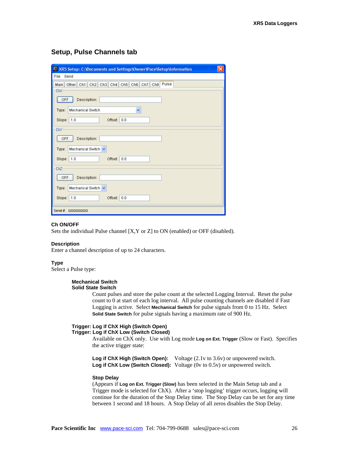### **Setup, Pulse Channels tab**

| $\vert \times$<br>X XR5 Setup: C:\Documents and Settings\Owner\Pace\Setup\information |
|---------------------------------------------------------------------------------------|
| File<br>Send                                                                          |
| Other   Ch1   Ch2   Ch3   Ch4   Ch5   Ch6   Ch7   Ch8   Pulse<br>Main                 |
| ChX                                                                                   |
| OFF<br>Description:                                                                   |
| Mechanical Switch<br>Type:<br>v                                                       |
| 0.0<br>1.0<br>Offset:<br>Slope:                                                       |
| ChY                                                                                   |
| OFF<br>Description:                                                                   |
| Mechanical Switch V<br>Type:                                                          |
| 0.0<br>Slope:<br>1.0<br>Offset:                                                       |
| ChZ                                                                                   |
| OFF<br>Description:                                                                   |
| Mechanical Switch V<br>Type:                                                          |
| Slope:   1.0<br>Offset:<br>0.0                                                        |
| Serial $#$ :<br>00000000                                                              |

#### **Ch ON/OFF**

Sets the individual Pulse channel [X,Y or Z] to ON (enabled) or OFF (disabled).

#### **Description**

Enter a channel description of up to 24 characters.

#### **Type**

Select a Pulse type:

#### **Mechanical Switch Solid State Switch**

Count pulses and store the pulse count at the selected Logging Interval. Reset the pulse count to 0 at start of each log interval. All pulse counting channels are disabled if Fast Logging is active. Select **Mechanical Switch** for pulse signals from 0 to 15 Hz. Select **Solid State Switch** for pulse signals having a maximum rate of 900 Hz.

#### **Trigger: Log if ChX High (Switch Open) Trigger: Log if ChX Low (Switch Closed)**

Available on ChX only. Use with Log mode **Log on Ext. Trigger** (Slow or Fast). Specifies the active trigger state:

Log if ChX High (Switch Open): Voltage (2.1v to 3.6v) or unpowered switch. **Log if ChX Low (Switch Closed):** Voltage (0v to 0.5v) or unpowered switch.

#### **Stop Delay**

(Appears if **Log on Ext. Trigger (Slow)** has been selected in the Main Setup tab and a Trigger mode is selected for ChX). After a 'stop logging' trigger occurs, logging will continue for the duration of the Stop Delay time. The Stop Delay can be set for any time between 1 second and 18 hours. A Stop Delay of all zeros disables the Stop Delay.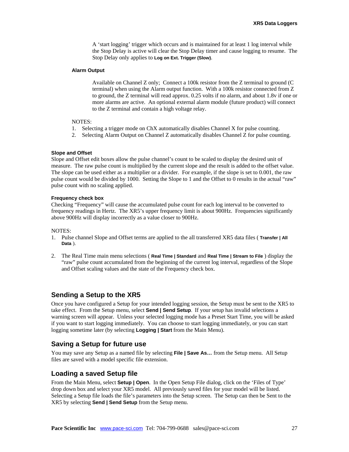A 'start logging' trigger which occurs and is maintained for at least 1 log interval while the Stop Delay is active will clear the Stop Delay timer and cause logging to resume. The Stop Delay only applies to **Log on Ext. Trigger (Slow)**.

#### **Alarm Output**

Available on Channel Z only; Connect a 100k resistor from the Z terminal to ground (C terminal) when using the Alarm output function. With a 100k resistor connected from Z to ground, the Z terminal will read approx. 0.25 volts if no alarm, and about 1.8v if one or more alarms are active. An optional external alarm module (future product) will connect to the Z terminal and contain a high voltage relay.

#### NOTES:

- 1. Selecting a trigger mode on ChX automatically disables Channel X for pulse counting.
- 2. Selecting Alarm Output on Channel Z automatically disables Channel Z for pulse counting.

#### **Slope and Offset**

Slope and Offset edit boxes allow the pulse channel's count to be scaled to display the desired unit of measure. The raw pulse count is multiplied by the current slope and the result is added to the offset value. The slope can be used either as a multiplier or a divider. For example, if the slope is set to 0.001, the raw pulse count would be divided by 1000. Setting the Slope to 1 and the Offset to 0 results in the actual "raw" pulse count with no scaling applied.

#### **Frequency check box**

Checking "Frequency" will cause the accumulated pulse count for each log interval to be converted to frequency readings in Hertz. The XR5's upper frequency limit is about 900Hz. Frequencies significantly above 900Hz will display incorrectly as a value closer to 900Hz.

#### NOTES:

- 1. Pulse channel Slope and Offset terms are applied to the all transferred XR5 data files ( **Transfer | All Data** ).
- 2. The Real Time main menu selections ( **Real Time | Standard** and **Real Time | Stream to File** ) display the "raw" pulse count accumulated from the beginning of the current log interval, regardless of the Slope and Offset scaling values and the state of the Frequency check box.

### **Sending a Setup to the XR5**

Once you have configured a Setup for your intended logging session, the Setup must be sent to the XR5 to take effect. From the Setup menu, select **Send | Send Setup**. If your setup has invalid selections a warning screen will appear. Unless your selected logging mode has a Preset Start Time, you will be asked if you want to start logging immediately. You can choose to start logging immediately, or you can start logging sometime later (by selecting **Logging | Start** from the Main Menu).

### **Saving a Setup for future use**

You may save any Setup as a named file by selecting **File | Save As…** from the Setup menu. All Setup files are saved with a model specific file extension.

### **Loading a saved Setup file**

From the Main Menu, select **Setup | Open**. In the Open Setup File dialog, click on the 'Files of Type' drop down box and select your XR5 model. All previously saved files for your model will be listed. Selecting a Setup file loads the file's parameters into the Setup screen. The Setup can then be Sent to the XR5 by selecting **Send | Send Setup** from the Setup menu.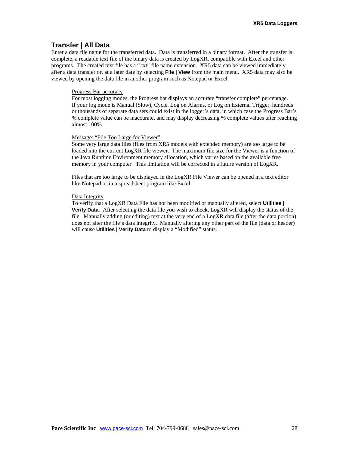### **Transfer | All Data**

Enter a data file name for the transferred data. Data is transferred in a binary format. After the transfer is complete, a readable text file of the binary data is created by LogXR, compatible with Excel and other programs. The created text file has a ".txt" file name extension. XR5 data can be viewed immediately after a data transfer or, at a later date by selecting **File | View** from the main menu. XR5 data may also be viewed by opening the data file in another program such as Notepad or Excel.

#### Progress Bar accuracy

For most logging modes, the Progress bar displays an accurate "transfer complete" percentage. If your log mode is Manual (Slow), Cycle, Log on Alarms, or Log on External Trigger, hundreds or thousands of separate data sets could exist in the logger's data, in which case the Progress Bar's % complete value can be inaccurate, and may display decreasing % complete values after reaching almost 100%.

#### Message: "File Too Large for Viewer"

Some very large data files (files from XR5 models with extended memory) are too large to be loaded into the current LogXR file viewer. The maximum file size for the Viewer is a function of the Java Runtime Environment memory allocation, which varies based on the available free memory in your computer. This limitation will be corrected in a future version of LogXR.

Files that are too large to be displayed in the LogXR File Viewer can be opened in a text editor like Notepad or in a spreadsheet program like Excel.

#### Data Integrity

To verify that a LogXR Data File has not been modified or manually altered, select **Utilities | Verify Data**. After selecting the data file you wish to check, LogXR will display the status of the file. Manually adding (or editing) text at the very end of a LogXR data file (after the data portion) does not alter the file's data integrity. Manually altering any other part of the file (data or header) will cause **Utilities | Verify Data** to display a "Modified" status.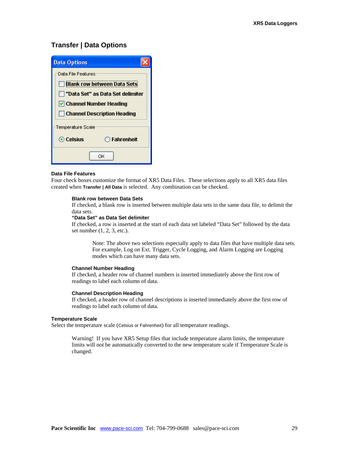### **Transfer | Data Options**

| <b>Data Options</b>                                                                                                        |  |
|----------------------------------------------------------------------------------------------------------------------------|--|
| Data File Features<br><b>Blank row between Data Sets</b><br>"Data Set" as Data Set delimiter<br> √  Channel Number Heading |  |
| <b>Channel Description Heading</b>                                                                                         |  |
| Temperature Scale                                                                                                          |  |
| ⊙ Celsius<br>$\bigcirc$ Fahrenheit                                                                                         |  |
| ∩ĸ                                                                                                                         |  |

#### **Data File Features**

Four check boxes customize the format of XR5 Data Files. These selections apply to all XR5 data files created when **Transfer | All Data** is selected. Any combination can be checked.

#### **Blank row between Data Sets**

If checked, a blank row is inserted between multiple data sets in the same data file, to delimit the data sets.

#### **"Data Set" as Data Set delimiter**

If checked, a row is inserted at the start of each data set labeled "Data Set" followed by the data set number (1, 2, 3, etc.).

Note: The above two selections especially apply to data files that have multiple data sets. For example, Log on Ext. Trigger, Cycle Logging, and Alarm Logging are Logging modes which can have many data sets.

#### **Channel Number Heading**

If checked, a header row of channel numbers is inserted immediately above the first row of readings to label each column of data.

#### **Channel Description Heading**

If checked, a header row of channel descriptions is inserted immediately above the first row of readings to label each column of data.

#### **Temperature Scale**

Select the temperature scale (Celsius or Fahrenheit) for all temperature readings.

Warning! If you have XR5 Setup files that include temperature alarm limits, the temperature limits will not be automatically converted to the new temperature scale if Temperature Scale is changed.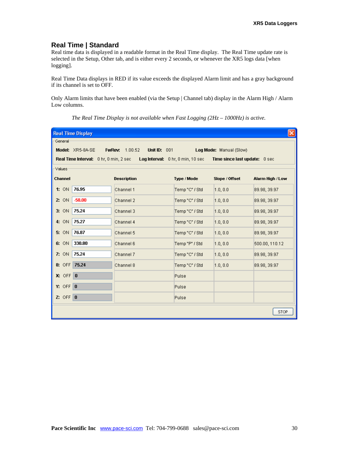### **Real Time | Standard**

Real time data is displayed in a readable format in the Real Time display. The Real Time update rate is selected in the Setup, Other tab, and is either every 2 seconds, or whenever the XR5 logs data [when logging].

Real Time Data displays in RED if its value exceeds the displayed Alarm limit and has a gray background if its channel is set to OFF.

Only Alarm limits that have been enabled (via the Setup | Channel tab) display in the Alarm High / Alarm Low columns.

| $\vert \mathsf{x} \vert$<br><b>Real Time Display</b> |                                        |                                              |                |                               |                  |
|------------------------------------------------------|----------------------------------------|----------------------------------------------|----------------|-------------------------------|------------------|
| -General-                                            |                                        |                                              |                |                               |                  |
|                                                      | Model: XR5-8A-SE                       | <b>FwRev:</b> 1.00.52<br><b>Unit ID: 001</b> |                | Log Mode: Manual (Slow)       |                  |
|                                                      | Real Time Interval: 0 hr, 0 min, 2 sec | Log Interval: 0 hr, 0 min, 10 sec            |                | Time since last update: 0 sec |                  |
| Values <sup>.</sup>                                  |                                        |                                              |                |                               |                  |
| <b>Channel</b>                                       |                                        | <b>Description</b>                           | Type / Mode    | Slope / Offset                | Alarm High / Low |
| 1:ON                                                 | 76.95                                  | Channel 1                                    | Temp "C" / Std | [1.0, 0.0]                    | 89.98, 39.97     |
| 2:ON                                                 | $-58.00$                               | Channel 2                                    | Temp "C" / Std | [1.0, 0.0]                    | 89.98, 39.97     |
| 3:ON                                                 | 75.24                                  | Channel 3                                    | Temp "C" / Std | [1.0, 0.0]                    | 89.98, 39.97     |
| 4: ON                                                | 75.27                                  | Channel 4                                    | Temp "C" / Std | [1.0, 0.0]                    | 89.98, 39.97     |
| 5: ON                                                | 76.87                                  | Channel 5                                    | Temp "C" / Std | [1.0, 0.0]                    | 89.98, 39.97     |
| 6: ON                                                | 330.80                                 | Channel 6                                    | Temp "P" / Std | [1.0, 0.0]                    | 500.00, 110.12   |
| 7:ON                                                 | 75.24                                  | Channel 7                                    | Temp "C" / Std | [1.0, 0.0]                    | 89.98, 39.97     |
| 8: OFF 75.24                                         |                                        | Channel 8                                    | Temp "C" / Std | [1.0, 0.0]                    | 89.98, 39.97     |
| $X: OFF$ <sup>0</sup>                                |                                        |                                              | Pulse          |                               |                  |
| $Y: OF \boxed{0}$                                    |                                        |                                              | Pulse          |                               |                  |
| Z: OFF $\vert 0 \vert$                               |                                        |                                              | Pulse          |                               |                  |
| <b>STOP</b>                                          |                                        |                                              |                |                               |                  |

*The Real Time Display is not available when Fast Logging (2Hz – 1000Hz) is active.*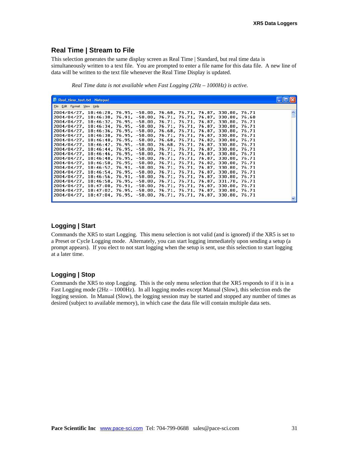### **Real Time | Stream to File**

This selection generates the same display screen as Real Time | Standard, but real time data is simultaneously written to a text file. You are prompted to enter a file name for this data file. A new line of data will be written to the text file whenever the Real Time Display is updated.

*Real Time data is not available when Fast Logging (2Hz – 1000Hz) is active.* 

| Real_time_test.txt - Notepad                                                                                                                        |  |
|-----------------------------------------------------------------------------------------------------------------------------------------------------|--|
| File Edit Format View Help                                                                                                                          |  |
| 2004/04/27, 18:46:28, 76.95, -58.00, 76.68, 76.71, 76.87, 330.80, 76.71                                                                             |  |
| 2004/04/27, 18:46:30, 76.91, -58.00, 76.71, 76.71, 76.87, 330.80, 76.68                                                                             |  |
| 12004/04/27, 18:46:32, 76.95, -58.00, 76.71, 76.71, 76.87, 330.80, 76.71<br>2004/04/27, 18:46:34, 76.95, -58.00, 76.71, 76.71, 76.87, 330.80, 76.71 |  |
| 2004/04/27, 18:46:36, 76.95, -58.00, 76.68, 76.71, 76.87, 330.80, 76.71                                                                             |  |
| 12004/04/27, 18:46:38, 76.95, -58.00, 76.71, 76.71, 76.87, 330.80, 76.71                                                                            |  |
| 2004/04/27, 18:46:40, 76.95, -58.00, 76.68, 76.71, 76.82, 330.80, 76.71 "                                                                           |  |
| 2004/04/27, 18:46:42, 76.95, -58.00, 76.68, 76.71, 76.87, 330.80, 76.71                                                                             |  |
| 2004/04/27, 18:46:44, 76.95, -58.00, 76.71, 76.71, 76.87, 330.80, 76.71                                                                             |  |
| 2004/04/27, 18:46:46, 76.95, -58.00, 76.71, 76.71, 76.87, 330.80, 76.71, "                                                                          |  |
| 12004/04/27. 18:46:48. 76.95. -58.00. 76.71. 76.71. 76.87. 330.80. 76.71<br>2004/04/27, 18:46:50, 76.95, -58.00, 76.71, 76.71, 76.82, 330.80, 76.71 |  |
| 2004/04/27, 18:46:52, 76.91, -58.00, 76.71, 76.71, 76.87, 330.80, 76.71                                                                             |  |
| 2004/04/27, 18:46:54, 76.95, -58.00, 76.71, 76.71, 76.87, 330.80, 76.71                                                                             |  |
| 2004/04/27, 18:46:56, 76.91, -58.00, 76.71, 76.71, 76.87, 330.80, 76.71                                                                             |  |
| .2004/04/27, 18:46:58, 76.95, -58.00, 76.71, 76.71, 76.87, 331.70, 76.71                                                                            |  |
| 2004/04/27, 18:47:00, 76.91, -58.00, 76.71, 76.71, 76.87, 330.80, 76.71, "                                                                          |  |
| 2004/04/27, 18:47:02, 76.95, -58.00, 76.71, 76.71, 76.87, 330.80, 76.71                                                                             |  |
| 2004/04/27, 18:47:04, 76.95, -58.00, 76.71, 76.71, 76.87, 330.80, 76.71                                                                             |  |

### **Logging | Start**

Commands the XR5 to start Logging. This menu selection is not valid (and is ignored) if the XR5 is set to a Preset or Cycle Logging mode. Alternately, you can start logging immediately upon sending a setup (a prompt appears). If you elect to not start logging when the setup is sent, use this selection to start logging at a later time.

### **Logging | Stop**

Commands the XR5 to stop Logging. This is the only menu selection that the XR5 responds to if it is in a Fast Logging mode (2Hz – 1000Hz). In all logging modes except Manual (Slow), this selection ends the logging session. In Manual (Slow), the logging session may be started and stopped any number of times as desired (subject to available memory), in which case the data file will contain multiple data sets.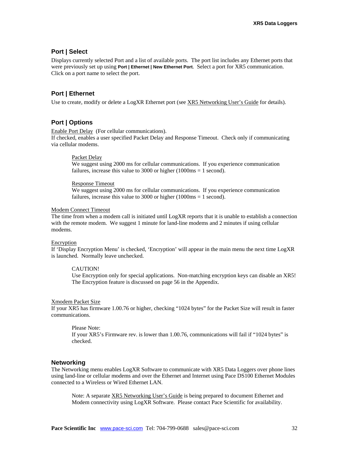### **Port | Select**

Displays currently selected Port and a list of available ports. The port list includes any Ethernet ports that were previously set up using **Port | Ethernet | New Ethernet Port**. Select a port for XR5 communication. Click on a port name to select the port.

### **Port | Ethernet**

Use to create, modify or delete a LogXR Ethernet port (see XR5 Networking User's Guide for details).

### **Port | Options**

Enable Port Delay (For cellular communications).

If checked, enables a user specified Packet Delay and Response Timeout. Check only if communicating via cellular modems.

#### Packet Delay

We suggest using 2000 ms for cellular communications. If you experience communication failures, increase this value to 3000 or higher (1000ms = 1 second).

#### Response Timeout

We suggest using 2000 ms for cellular communications. If you experience communication failures, increase this value to 3000 or higher (1000ms = 1 second).

#### Modem Connect Timeout

The time from when a modem call is initiated until LogXR reports that it is unable to establish a connection with the remote modem. We suggest 1 minute for land-line modems and 2 minutes if using cellular modems.

#### Encryption

If 'Display Encryption Menu' is checked, 'Encryption' will appear in the main menu the next time LogXR is launched. Normally leave unchecked.

#### CAUTION!

Use Encryption only for special applications. Non-matching encryption keys can disable an XR5! The Encryption feature is discussed on page 56 in the Appendix.

#### Xmodem Packet Size

If your XR5 has firmware 1.00.76 or higher, checking "1024 bytes" for the Packet Size will result in faster communications.

Please Note: If your XR5's Firmware rev. is lower than 1.00.76, communications will fail if "1024 bytes" is checked.

#### **Networking**

The Networking menu enables LogXR Software to communicate with XR5 Data Loggers over phone lines using land-line or cellular modems and over the Ethernet and Internet using Pace DS100 Ethernet Modules connected to a Wireless or Wired Ethernet LAN.

Note: A separate XR5 Networking User's Guide is being prepared to document Ethernet and Modem connectivity using LogXR Software. Please contact Pace Scientific for availability.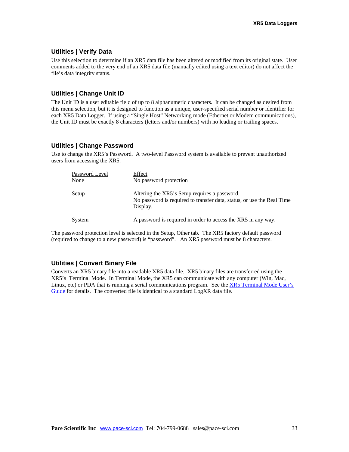### **Utilities | Verify Data**

Use this selection to determine if an XR5 data file has been altered or modified from its original state. User comments added to the very end of an XR5 data file (manually edited using a text editor) do not affect the file's data integrity status.

### **Utilities | Change Unit ID**

The Unit ID is a user editable field of up to 8 alphanumeric characters. It can be changed as desired from this menu selection, but it is designed to function as a unique, user-specified serial number or identifier for each XR5 Data Logger. If using a "Single Host" Networking mode (Ethernet or Modem communications), the Unit ID must be exactly 8 characters (letters and/or numbers) with no leading or trailing spaces.

### **Utilities | Change Password**

Use to change the XR5's Password. A two-level Password system is available to prevent unauthorized users from accessing the XR5.

| Password Level<br>None | Effect<br>No password protection                                                                                                    |
|------------------------|-------------------------------------------------------------------------------------------------------------------------------------|
| Setup                  | Altering the XR5's Setup requires a password.<br>No password is required to transfer data, status, or use the Real Time<br>Display. |
| System                 | A password is required in order to access the XR5 in any way.                                                                       |

The password protection level is selected in the Setup, Other tab. The XR5 factory default password (required to change to a new password) is "password". An XR5 password must be 8 characters.

### **Utilities | Convert Binary File**

Converts an XR5 binary file into a readable XR5 data file. XR5 binary files are transferred using the XR5's Terminal Mode. In Terminal Mode, the XR5 can communicate with any computer (Win, Mac, Linux, etc) or PDA that is running a serial communications program. See the [XR5 Terminal Mode User's](http://www.pace-sci.com/XR5-SE-Terminal-Mode.pdf) [Guide](http://www.pace-sci.com/XR5-SE-Terminal-Mode.pdf) for details. The converted file is identical to a standard LogXR data file.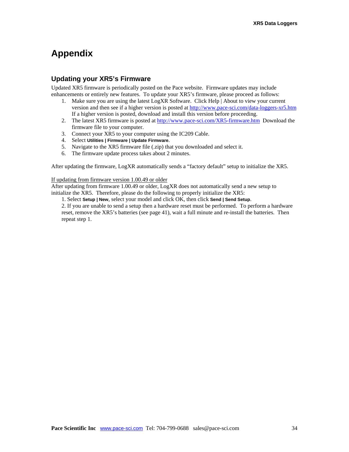## **Appendix**

### **Updating your XR5's Firmware**

Updated XR5 firmware is periodically posted on the Pace website. Firmware updates may include enhancements or entirely new features. To update your XR5's firmware, please proceed as follows:

- 1. Make sure you are using the latest LogXR Software. Click Help | About to view your current version and then see if a higher version is posted at <http://www.pace-sci.com/data-loggers-xr5.htm> If a higher version is posted, download and install this version before proceeding.
- 2. The latest XR5 firmware is posted at <http://www.pace-sci.com/XR5-firmware.htm>Download the firmware file to your computer.
- 3. Connect your XR5 to your computer using the IC209 Cable.
- 4. Select **Utilities | Firmware | Update Firmware**.
- 5. Navigate to the XR5 firmware file (.zip) that you downloaded and select it.
- 6. The firmware update process takes about 2 minutes.

After updating the firmware, LogXR automatically sends a "factory default" setup to initialize the XR5.

#### If updating from firmware version 1.00.49 or older

After updating from firmware 1.00.49 or older, LogXR does not automatically send a new setup to initialize the XR5. Therefore, please do the following to properly initialize the XR5:

1. Select **Setup | New**, select your model and click OK, then click **Send | Send Setup**.

2. If you are unable to send a setup then a hardware reset must be performed. To perform a hardware reset, remove the XR5's batteries (see page 41), wait a full minute and re-install the batteries. Then repeat step 1.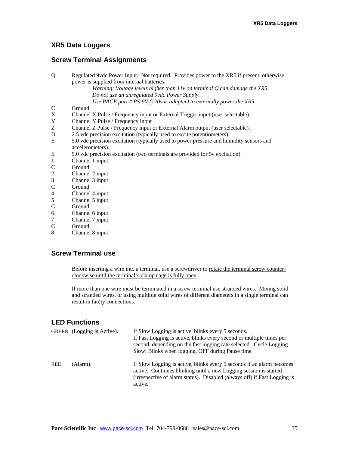### **XR5 Data Loggers**

### **Screw Terminal Assignments**

| Q                       | Regulated 9vdc Power Input. Not required. Provides power to the XR5 if present, otherwise |  |  |
|-------------------------|-------------------------------------------------------------------------------------------|--|--|
|                         | power is supplied from internal batteries.                                                |  |  |
|                         | Warning: Voltage levels higher than $11v$ on terminal $Q$ can damage the XR5.             |  |  |
|                         | Do not use an unregulated 9vdc Power Supply.                                              |  |  |
|                         | Use PACE part # PS-9V (120vac adapter) to externally power the XR5.                       |  |  |
| C                       | Ground                                                                                    |  |  |
| X                       | Channel X Pulse / Frequency input or External Trigger input (user selectable).            |  |  |
| Y                       | Channel Y Pulse / Frequency input                                                         |  |  |
| Z                       | Channel Z Pulse / Frequency input or External Alarm output (user selectable).             |  |  |
| D                       | 2.5 vdc precision excitation (typically used to excite potentiometers).                   |  |  |
| E                       | 5.0 vdc precision excitation (typically used to power pressure and humidity sensors and   |  |  |
|                         | accelerometers).                                                                          |  |  |
| E                       | 5.0 vdc precision excitation (two terminals are provided for 5y excitation).              |  |  |
| 1                       | Channel 1 input                                                                           |  |  |
| C                       | Ground                                                                                    |  |  |
| $\overline{\mathbf{c}}$ | Channel 2 input                                                                           |  |  |
| 3                       | Channel 3 input                                                                           |  |  |
| C                       | Ground                                                                                    |  |  |
| 4                       | Channel 4 input                                                                           |  |  |
| 5                       | Channel 5 input                                                                           |  |  |

- C Ground
- 6 Channel 6 input
- 7 Channel 7 input<br>C Ground
- C Ground<br>8 Channel
- 8 Channel 8 input

### **Screw Terminal use**

Before inserting a wire into a terminal, use a screwdriver to rotate the terminal screw counterclockwise until the terminal's clamp cage is fully open.

If more than one wire must be terminated in a screw terminal use stranded wires. Mixing solid and stranded wires, or using multiple solid wires of different diameters in a single terminal can result in faulty connections.

### **LED Functions**

|            | GREEN (Logging is Active). | If Slow Logging is active, blinks every 5 seconds.<br>If Fast Logging is active, blinks every second or multiple times per<br>second, depending on the fast logging rate selected. Cycle Logging<br>Slow: Blinks when logging, OFF during Pause time. |
|------------|----------------------------|-------------------------------------------------------------------------------------------------------------------------------------------------------------------------------------------------------------------------------------------------------|
| <b>RED</b> | (Alarm).                   | If Slow Logging is active, blinks every 5 seconds if an alarm becomes<br>active. Continues blinking until a new Logging session is started<br>(irrespective of alarm status). Disabled (always off) if Fast Logging is<br>active.                     |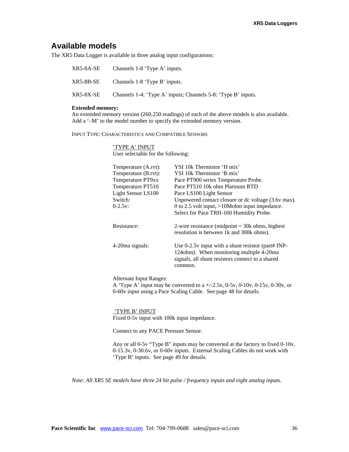## **Available models**

The XR5 Data Logger is available in three analog input configurations:

| XR5-8A-SE | Channels 1-8 'Type A' inputs.                                 |
|-----------|---------------------------------------------------------------|
| XR5-8B-SE | Channels 1-8 'Type B' inputs.                                 |
| XR5-8X-SE | Channels 1-4: 'Type A' inputs; Channels 5-8: 'Type B' inputs. |

#### **Extended memory:**

An extended memory version (260,250 readings) of each of the above models is also available. Add a '-M' to the model number to specify the extended memory version.

INPUT TYPE: CHARACTERISTICS AND COMPATIBLE SENSORS

'TYPE A' INPUT User selectable for the following:

| Temperature (A.rvt):<br>Temperature (B.rvt): | YSI 10k Thermistor 'H mix'<br>YSI 10k Thermistor 'B mix'                                                                                                        |
|----------------------------------------------|-----------------------------------------------------------------------------------------------------------------------------------------------------------------|
| Temperature PT9xx                            | Pace PT900 series Temperature Probe.                                                                                                                            |
| Temperature PT510                            | Pace PT510 10k ohm Platinum RTD                                                                                                                                 |
| Light Sensor LS100                           | Pace LS100 Light Sensor                                                                                                                                         |
| Switch:                                      | Unpowered contact closure or dc voltage (3.6v max).                                                                                                             |
| $0-2.5v$ :                                   | 0 to 2.5 volt input, $>10$ Mohm input impedance.                                                                                                                |
|                                              | Select for Pace TRH-160 Humidity Probe.                                                                                                                         |
| Resistance:                                  | 2-wire resistance (midpoint $=$ 30k ohms, highest<br>resolution is between 1k and 300k ohms).                                                                   |
| 4-20 ma signals:                             | Use $0-2.5v$ input with a shunt resistor (part# INP-<br>124ohm). When monitoring multiple 4-20ma<br>signals, all shunt resistors connect to a shared<br>common. |
|                                              |                                                                                                                                                                 |

Alternate Input Ranges:

A 'Type A' input may be converted to a +/-2.5v, 0-5v, 0-10v, 0-15v, 0-30v, or 0-60v input using a Pace Scaling Cable. See page 48 for details.

#### 'TYPE B' INPUT

Fixed 0-5v input with 100k input impedance.

Connect to any PACE Pressure Sensor.

Any or all 0-5v "Type B" inputs may be converted at the factory to fixed 0-10v, 0-15.3v, 0-30.6v, or 0-60v inputs. External Scaling Cables do not work with 'Type B' inputs. See page 49 for details.

*Note: All XR5 SE models have three 24 bit pulse / frequency inputs and eight analog inputs.*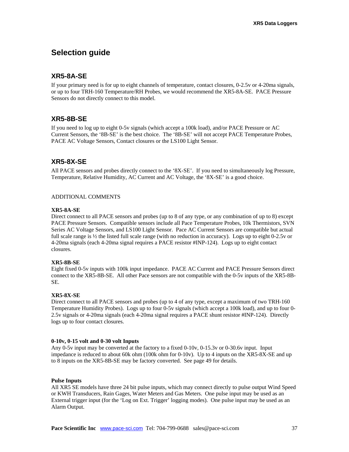## **Selection guide**

### **XR5-8A-SE**

If your primary need is for up to eight channels of temperature, contact closures, 0-2.5v or 4-20ma signals, or up to four TRH-160 Temperature/RH Probes, we would recommend the XR5-8A-SE. PACE Pressure Sensors do not directly connect to this model.

### **XR5-8B-SE**

If you need to log up to eight 0-5v signals (which accept a 100k load), and/or PACE Pressure or AC Current Sensors, the '8B-SE' is the best choice. The '8B-SE' will not accept PACE Temperature Probes, PACE AC Voltage Sensors, Contact closures or the LS100 Light Sensor.

### **XR5-8X-SE**

All PACE sensors and probes directly connect to the '8X-SE'. If you need to simultaneously log Pressure, Temperature, Relative Humidity, AC Current and AC Voltage, the '8X-SE' is a good choice.

#### ADDITIONAL COMMENTS

#### **XR5-8A-SE**

Direct connect to all PACE sensors and probes (up to 8 of any type, or any combination of up to 8) except PACE Pressure Sensors. Compatible sensors include all Pace Temperature Probes, 10k Thermistors, SVN Series AC Voltage Sensors, and LS100 Light Sensor. Pace AC Current Sensors are compatible but actual full scale range is ½ the listed full scale range (with no reduction in accuracy). Logs up to eight 0-2.5v or 4-20ma signals (each 4-20ma signal requires a PACE resistor #INP-124). Logs up to eight contact closures.

#### **XR5-8B-SE**

Eight fixed 0-5v inputs with 100k input impedance. PACE AC Current and PACE Pressure Sensors direct connect to the XR5-8B-SE. All other Pace sensors are not compatible with the 0-5v inputs of the XR5-8B-SE.

#### **XR5-8X-SE**

Direct connect to all PACE sensors and probes (up to 4 of any type, except a maximum of two TRH-160 Temperature Humidity Probes). Logs up to four 0-5v signals (which accept a 100k load), and up to four 0- 2.5v signals or 4-20ma signals (each 4-20ma signal requires a PACE shunt resistor #INP-124). Directly logs up to four contact closures.

#### **0-10v, 0-15 volt and 0-30 volt Inputs**

Any 0-5v input may be converted at the factory to a fixed 0-10v, 0-15.3v or 0-30.6v input. Input impedance is reduced to about 60k ohm (100k ohm for 0-10v). Up to 4 inputs on the XR5-8X-SE and up to 8 inputs on the XR5-8B-SE may be factory converted. See page 49 for details.

#### **Pulse Inputs**

All XR5 SE models have three 24 bit pulse inputs, which may connect directly to pulse output Wind Speed or KWH Transducers, Rain Gages, Water Meters and Gas Meters. One pulse input may be used as an External trigger input (for the 'Log on Ext. Trigger' logging modes). One pulse input may be used as an Alarm Output.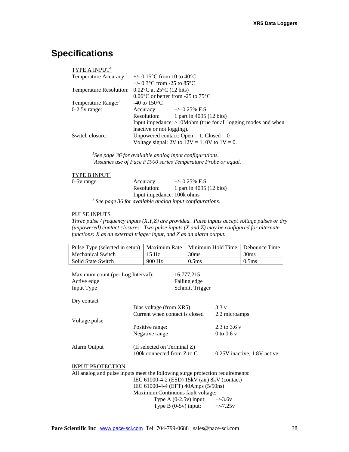# **Specifications**

| TYPE A $INPUT1$                                                         |                                                                  |
|-------------------------------------------------------------------------|------------------------------------------------------------------|
|                                                                         | Temperature Accuracy: $\frac{2}{1}$ +/- 0.15 °C from 10 to 40 °C |
|                                                                         | +/- $0.3^{\circ}$ C from -25 to 85 $^{\circ}$ C                  |
| Temperature Resolution: $0.02^{\circ}$ C at 25 <sup>°</sup> C (12 bits) |                                                                  |
|                                                                         | $0.06^{\circ}$ C or better from -25 to 75 $^{\circ}$ C           |
| Temperature Range: <sup>2</sup>                                         | -40 to $150^{\circ}$ C                                           |
| $0-2.5v$ range:                                                         | $+/-$ 0.25% F.S.<br>Accuracy:                                    |
|                                                                         | 1 part in 4095 (12 bits)<br>Resolution:                          |
|                                                                         | Input impedance: >10Mohm (true for all logging modes and when    |
|                                                                         | inactive or not logging).                                        |
| Switch closure:                                                         | Unpowered contact: Open = 1, $Closed = 0$                        |
|                                                                         | Voltage signal: 2V to $12V = 1$ , 0V to $1V = 0$ .               |

*1 See page 36 for available analog input configurations. 2 Assumes use of Pace PT900 series Temperature Probe or equal.* 

### TYPE B INPUT<sup>3</sup>

| $0-5v$ range | Accuracy:                  | $+/-$ 0.25% F.S.                                           |
|--------------|----------------------------|------------------------------------------------------------|
|              | Resolution:                | 1 part in 4095 (12 bits)                                   |
|              | Input impedance: 100k ohms |                                                            |
|              |                            | $3$ See page 36 for available analog input configurations. |

#### PULSE INPUTS

*Three pulse / frequency inputs (X,Y,Z) are provided. Pulse inputs accept voltage pulses or dry (unpowered) contact closures. Two pulse inputs (X and Z) may be configured for alternate functions: X as an external trigger input, and Z as an alarm output.* 

| Pulse Type (selected in setup)                                                                                                | Maximum Rate                        | Minimum Hold Time | Debounce Time               |
|-------------------------------------------------------------------------------------------------------------------------------|-------------------------------------|-------------------|-----------------------------|
| Mechanical Switch                                                                                                             | 15 Hz                               | 30 <sub>ms</sub>  | 30 <sub>ms</sub>            |
| Solid State Switch                                                                                                            | 900 Hz                              | 0.5 <sub>ms</sub> | 0.5 <sub>ms</sub>           |
| Maximum count (per Log Interval):                                                                                             |                                     | 16,777,215        |                             |
| Active edge                                                                                                                   |                                     | Falling edge      |                             |
| Input Type                                                                                                                    |                                     | Schmitt Trigger   |                             |
| Dry contact                                                                                                                   |                                     |                   |                             |
|                                                                                                                               | Bias voltage (from XR5)             | 3.3v              |                             |
|                                                                                                                               | Current when contact is closed      | 2.2 microamps     |                             |
| Voltage pulse                                                                                                                 |                                     |                   |                             |
|                                                                                                                               | Positive range:                     | 2.3 to 3.6 v      |                             |
|                                                                                                                               | Negative range                      | 0 to 0.6 $v$      |                             |
| Alarm Output                                                                                                                  | (If selected on Terminal Z)         |                   |                             |
|                                                                                                                               | 100k connected from Z to C          |                   | 0.25V inactive, 1.8V active |
| <b>INPUT PROTECTION</b>                                                                                                       |                                     |                   |                             |
|                                                                                                                               |                                     |                   |                             |
| All analog and pulse inputs meet the following surge protection requirements:<br>IEC 61000-4-2 (ESD) 15kV (air) 8kV (contact) |                                     |                   |                             |
|                                                                                                                               | IEC 61000-4-4 (EFT) 40Amps (5/50ns) |                   |                             |
|                                                                                                                               | Maximum Continuous fault voltage:   |                   |                             |
|                                                                                                                               | Type $A(0-2.5v)$ input:             | $+/-3.6v$         |                             |
|                                                                                                                               | Type $B(0-5v)$ input:               | $+/-7.25v$        |                             |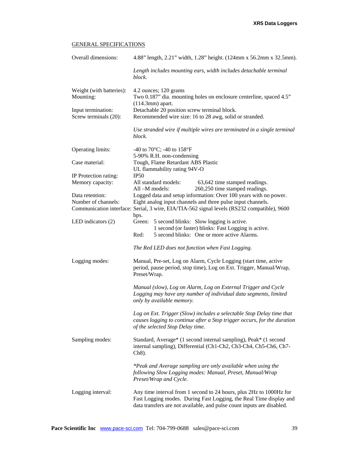### GENERAL SPECIFICATIONS

| Overall dimensions:                   | 4.88" length, 2.21" width, 1.28" height. (124mm x 56.2mm x 32.5mm).                                                                                                                                                 |
|---------------------------------------|---------------------------------------------------------------------------------------------------------------------------------------------------------------------------------------------------------------------|
|                                       | Length includes mounting ears, width includes detachable terminal<br>block.                                                                                                                                         |
| Weight (with batteries):<br>Mounting: | 4.2 ounces; 120 grams<br>Two 0.187" dia. mounting holes on enclosure centerline, spaced 4.5"<br>$(114.3mm)$ apart.                                                                                                  |
| Input termination:                    | Detachable 20 position screw terminal block.                                                                                                                                                                        |
| Screw terminals (20):                 | Recommended wire size: 16 to 28 awg, solid or stranded.                                                                                                                                                             |
|                                       | Use stranded wire if multiple wires are terminated in a single terminal<br>block.                                                                                                                                   |
| <b>Operating limits:</b>              | -40 to 70 $^{\circ}$ C; -40 to 158 $^{\circ}$ F                                                                                                                                                                     |
|                                       | 5-90% R.H. non-condensing                                                                                                                                                                                           |
| Case material:                        | Tough, Flame Retardant ABS Plastic<br>UL flammability rating 94V-O                                                                                                                                                  |
| IP Protection rating:                 | IP50                                                                                                                                                                                                                |
| Memory capacity:                      | All standard models:<br>63,642 time stamped readings.<br>All-M models:<br>260,250 time stamped readings.                                                                                                            |
| Data retention:                       | Logged data and setup information: Over 100 years with no power.                                                                                                                                                    |
| Number of channels:                   | Eight analog input channels and three pulse input channels.                                                                                                                                                         |
|                                       | Communication interface: Serial, 3 wire, EIA/TIA-562 signal levels (RS232 compatible), 9600<br>bps.                                                                                                                 |
| LED indicators $(2)$                  | Green:<br>5 second blinks: Slow logging is active.<br>1 second (or faster) blinks: Fast Logging is active.                                                                                                          |
|                                       | 5 second blinks: One or more active Alarms.<br>Red:                                                                                                                                                                 |
|                                       | The Red LED does not function when Fast Logging.                                                                                                                                                                    |
| Logging modes:                        | Manual, Pre-set, Log on Alarm, Cycle Logging (start time, active<br>period, pause period, stop time), Log on Ext. Trigger, Manual/Wrap,<br>Preset/Wrap.                                                             |
|                                       | Manual (slow), Log on Alarm, Log on External Trigger and Cycle<br>Logging may have any number of individual data segments, limited<br>only by available memory.                                                     |
|                                       | Log on Ext. Trigger (Slow) includes a selectable Stop Delay time that<br>causes logging to continue after a Stop trigger occurs, for the duration<br>of the selected Stop Delay time.                               |
| Sampling modes:                       | Standard, Average* (1 second internal sampling), Peak* (1 second<br>internal sampling), Differential (Ch1-Ch2, Ch3-Ch4, Ch5-Ch6, Ch7-<br>$Ch8$ ).                                                                   |
|                                       | *Peak and Average sampling are only available when using the<br>following Slow Logging modes: Manual, Preset, Manual/Wrap<br>Preset/Wrap and Cycle.                                                                 |
| Logging interval:                     | Any time interval from 1 second to 24 hours, plus 2Hz to 1000Hz for<br>Fast Logging modes. During Fast Logging, the Real Time display and<br>data transfers are not available, and pulse count inputs are disabled. |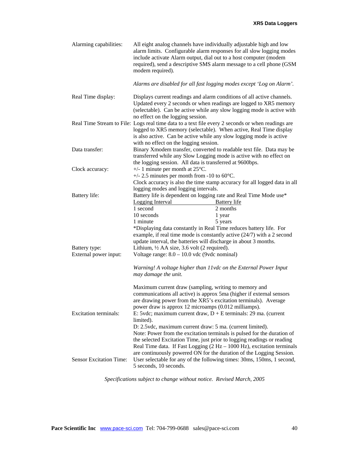| Alarming capabilities:                 | All eight analog channels have individually adjustable high and low<br>include activate Alarm output, dial out to a host computer (modem<br>modem required).                                                                                                                                                                                                                                             | alarm limits. Configurable alarm responses for all slow logging modes<br>required), send a descriptive SMS alarm message to a cell phone (GSM                                                                                                                                                          |
|----------------------------------------|----------------------------------------------------------------------------------------------------------------------------------------------------------------------------------------------------------------------------------------------------------------------------------------------------------------------------------------------------------------------------------------------------------|--------------------------------------------------------------------------------------------------------------------------------------------------------------------------------------------------------------------------------------------------------------------------------------------------------|
|                                        | Alarms are disabled for all fast logging modes except 'Log on Alarm'.                                                                                                                                                                                                                                                                                                                                    |                                                                                                                                                                                                                                                                                                        |
| Real Time display:                     | Displays current readings and alarm conditions of all active channels.<br>no effect on the logging session.                                                                                                                                                                                                                                                                                              | Updated every 2 seconds or when readings are logged to XR5 memory<br>(selectable). Can be active while any slow logging mode is active with                                                                                                                                                            |
|                                        | Real Time Stream to File: Logs real time data to a text file every 2 seconds or when readings are<br>logged to XR5 memory (selectable). When active, Real Time display<br>is also active. Can be active while any slow logging mode is active<br>with no effect on the logging session.                                                                                                                  |                                                                                                                                                                                                                                                                                                        |
| Data transfer:                         | transferred while any Slow Logging mode is active with no effect on<br>the logging session. All data is transferred at 9600bps.                                                                                                                                                                                                                                                                          | Binary Xmodem transfer, converted to readable text file. Data may be                                                                                                                                                                                                                                   |
| Clock accuracy:                        | $+/- 1$ minute per month at 25 $\degree$ C.<br>+/- 2.5 minutes per month from -10 to $60^{\circ}$ C.<br>logging modes and logging intervals.                                                                                                                                                                                                                                                             | Clock accuracy is also the time stamp accuracy for all logged data in all                                                                                                                                                                                                                              |
| Battery life:                          | Battery life is dependent on logging rate and Real Time Mode use*<br><b>Logging Interval</b><br>1 second<br>10 seconds<br>1 minute<br>*Displaying data constantly in Real Time reduces battery life. For<br>example, if real time mode is constantly active $(24/7)$ with a 2 second                                                                                                                     | Battery life<br>2 months<br>1 year<br>5 years                                                                                                                                                                                                                                                          |
| Battery type:<br>External power input: | update interval, the batteries will discharge in about 3 months.<br>Lithium, $\frac{1}{2}$ AA size, 3.6 volt (2 required).<br>Voltage range: $8.0 - 10.0$ vdc (9vdc nominal)<br>Warning! A voltage higher than 11vdc on the External Power Input                                                                                                                                                         |                                                                                                                                                                                                                                                                                                        |
|                                        | may damage the unit.                                                                                                                                                                                                                                                                                                                                                                                     |                                                                                                                                                                                                                                                                                                        |
| <b>Excitation terminals:</b>           | Maximum current draw (sampling, writing to memory and<br>communications all active) is approx 5ma (higher if external sensors<br>are drawing power from the XR5's excitation terminals). Average<br>power draw is approx 12 microamps (0.012 milliamps).<br>E: 5vdc; maximum current draw, $D + E$ terminals: 29 ma. (current<br>limited).<br>D: 2.5 vdc, maximum current draw: 5 ma. (current limited). |                                                                                                                                                                                                                                                                                                        |
| <b>Sensor Excitation Time:</b>         | the selected Excitation Time, just prior to logging readings or reading<br>5 seconds, 10 seconds.                                                                                                                                                                                                                                                                                                        | Note: Power from the excitation terminals is pulsed for the duration of<br>Real Time data. If Fast Logging $(2 Hz - 1000 Hz)$ , excitation terminals<br>are continuously powered ON for the duration of the Logging Session.<br>User selectable for any of the following times: 30ms, 150ms, 1 second, |

*Specifications subject to change without notice. Revised March, 2005*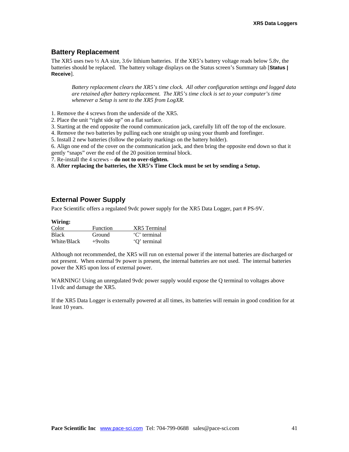### **Battery Replacement**

The XR5 uses two ½ AA size, 3.6v lithium batteries. If the XR5's battery voltage reads below 5.8v, the batteries should be replaced. The battery voltage displays on the Status screen's Summary tab [**Status | Receive**].

*Battery replacement clears the XR5's time clock. All other configuration settings and logged data are retained after battery replacement. The XR5's time clock is set to your computer's time whenever a Setup is sent to the XR5 from LogXR.* 

1. Remove the 4 screws from the underside of the XR5.

2. Place the unit "right side up" on a flat surface.

3. Starting at the end opposite the round communication jack, carefully lift off the top of the enclosure.

4. Remove the two batteries by pulling each one straight up using your thumb and forefinger.

5. Install 2 new batteries (follow the polarity markings on the battery holder).

6. Align one end of the cover on the communication jack, and then bring the opposite end down so that it gently "snaps" over the end of the 20 position terminal block.

7. Re-install the 4 screws – **do not to over-tighten.**

8. **After replacing the batteries, the XR5's Time Clock must be set by sending a Setup.**

### **External Power Supply**

Pace Scientific offers a regulated 9vdc power supply for the XR5 Data Logger, part # PS-9V.

#### **Wiring:**

| Color        | <b>Function</b> | XR5 Terminal |
|--------------|-----------------|--------------|
| <b>Black</b> | Ground          | 'C' terminal |
| White/Black  | $+9$ volts      | 'O' terminal |

Although not recommended, the XR5 will run on external power if the internal batteries are discharged or not present. When external 9v power is present, the internal batteries are not used. The internal batteries power the XR5 upon loss of external power.

WARNING! Using an unregulated 9vdc power supply would expose the Q terminal to voltages above 11vdc and damage the XR5.

If the XR5 Data Logger is externally powered at all times, its batteries will remain in good condition for at least 10 years.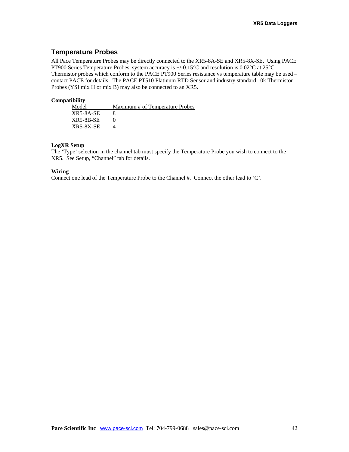### **Temperature Probes**

All Pace Temperature Probes may be directly connected to the XR5-8A-SE and XR5-8X-SE. Using PACE PT900 Series Temperature Probes, system accuracy is +/-0.15°C and resolution is 0.02°C at 25°C. Thermistor probes which conform to the PACE PT900 Series resistance vs temperature table may be used – contact PACE for details. The PACE PT510 Platinum RTD Sensor and industry standard 10k Thermistor Probes (YSI mix H or mix B) may also be connected to an XR5.

#### **Compatibility**

| Model            | Maximum # of Temperature Probes |
|------------------|---------------------------------|
| XR5-8A-SE        |                                 |
| <b>XR5-8B-SE</b> |                                 |
| <b>XR5-8X-SE</b> |                                 |

#### **LogXR Setup**

The 'Type' selection in the channel tab must specify the Temperature Probe you wish to connect to the XR5. See Setup, "Channel" tab for details.

#### **Wiring**

Connect one lead of the Temperature Probe to the Channel #. Connect the other lead to 'C'.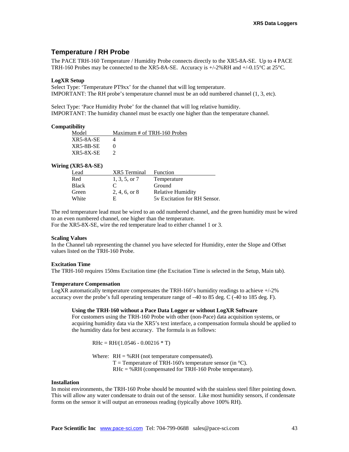### **Temperature / RH Probe**

The PACE TRH-160 Temperature / Humidity Probe connects directly to the XR5-8A-SE. Up to 4 PACE TRH-160 Probes may be connected to the XR5-8A-SE. Accuracy is  $+/-2\%RH$  and  $+/-0.15\degree$ C at 25 $\degree$ C.

#### **LogXR Setup**

Select Type: 'Temperature PT9xx' for the channel that will log temperature. IMPORTANT: The RH probe's temperature channel must be an odd numbered channel (1, 3, etc).

Select Type: 'Pace Humidity Probe' for the channel that will log relative humidity. IMPORTANT: The humidity channel must be exactly one higher than the temperature channel.

#### **Compatibility**

| Model       | Maximum # of TRH-160 Probes |
|-------------|-----------------------------|
| XR5-8A-SE   |                             |
| $XR5-8B-SE$ |                             |
| XR5-8X-SE   |                             |

#### **Wiring (XR5-8A-SE)**

| Lead         | <b>XR5</b> Terminal | Function                     |
|--------------|---------------------|------------------------------|
| Red          | 1, 3, 5, or 7       | Temperature                  |
| <b>Black</b> | $\mathcal{C}$       | Ground                       |
| Green        | 2, 4, 6, or 8       | <b>Relative Humidity</b>     |
| White        | H                   | 5y Excitation for RH Sensor. |

The red temperature lead must be wired to an odd numbered channel, and the green humidity must be wired to an even numbered channel, one higher than the temperature.

For the XR5-8X-SE, wire the red temperature lead to either channel 1 or 3.

#### **Scaling Values**

In the Channel tab representing the channel you have selected for Humidity, enter the Slope and Offset values listed on the TRH-160 Probe.

#### **Excitation Time**

The TRH-160 requires 150ms Excitation time (the Excitation Time is selected in the Setup, Main tab).

#### **Temperature Compensation**

LogXR automatically temperature compensates the TRH-160's humidity readings to achieve  $+/-2\%$ accuracy over the probe's full operating temperature range of –40 to 85 deg. C (-40 to 185 deg. F).

#### **Using the TRH-160 without a Pace Data Logger or without LogXR Software**

For customers using the TRH-160 Probe with other (non-Pace) data acquisition systems, or acquiring humidity data via the XR5's text interface, a compensation formula should be applied to the humidity data for best accuracy. The formula is as follows:

 $R$ Hc = RH/(1.0546 - 0.00216  $*$  T)

Where:  $RH = \%RH$  (not temperature compensated).  $T =$  Temperature of TRH-160's temperature sensor (in  $^{\circ}$ C). RHc = %RH (compensated for TRH-160 Probe temperature).

#### **Installation**

In moist environments, the TRH-160 Probe should be mounted with the stainless steel filter pointing down. This will allow any water condensate to drain out of the sensor. Like most humidity sensors, if condensate forms on the sensor it will output an erroneous reading (typically above 100% RH).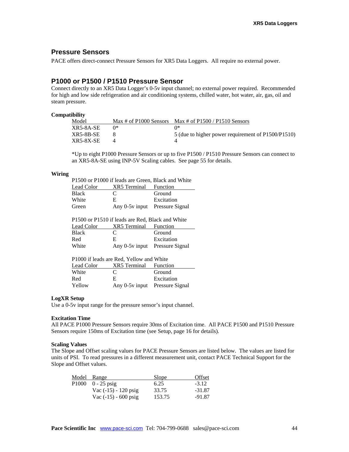### **Pressure Sensors**

PACE offers direct-connect Pressure Sensors for XR5 Data Loggers. All require no external power.

### **P1000 or P1500 / P1510 Pressure Sensor**

Connect directly to an XR5 Data Logger's 0-5v input channel; no external power required. Recommended for high and low side refrigeration and air conditioning systems, chilled water, hot water, air, gas, oil and steam pressure.

#### **Compatibility**

| Model     | Max # of P1000 Sensors Max # of P1500 / P1510 Sensors |
|-----------|-------------------------------------------------------|
| XR5-8A-SE | 11*                                                   |
| XR5-8B-SE | 5 (due to higher power requirement of P1500/P1510)    |
| XR5-8X-SE |                                                       |

\*Up to eight P1000 Pressure Sensors or up to five P1500 / P1510 Pressure Sensors can connect to an XR5-8A-SE using INP-5V Scaling cables. See page 55 for details.

#### **Wiring**

| P1500 or P1000 if leads are Green, Black and White |                                |            |  |
|----------------------------------------------------|--------------------------------|------------|--|
| Lead Color                                         | <b>XR5</b> Terminal Function   |            |  |
| Black                                              | €                              | Ground     |  |
| White                                              | E.                             | Excitation |  |
| Green                                              | Any 0-5y input Pressure Signal |            |  |

P1500 or P1510 if leads are Red, Black and White Lead Color XR5 Terminal Function<br>Black C Ground  $\mathbf C$  Ground  $\mathbf C$ 

| Red   | Excitation                     |
|-------|--------------------------------|
| White | Any 0-5y input Pressure Signal |

| P1000 if leads are Red, Yellow and White |                                |            |  |
|------------------------------------------|--------------------------------|------------|--|
| Lead Color                               | <b>XR5</b> Terminal Function   |            |  |
| White                                    | $\mathbf C$                    | Ground     |  |
| Red                                      | E.                             | Excitation |  |
| Yellow                                   | Any 0-5y input Pressure Signal |            |  |

#### **LogXR Setup**

Use a 0-5v input range for the pressure sensor's input channel.

#### **Excitation Time**

All PACE P1000 Pressure Sensors require 30ms of Excitation time. All PACE P1500 and P1510 Pressure Sensors require 150ms of Excitation time (see Setup, page 16 for details).

#### **Scaling Values**

The Slope and Offset scaling values for PACE Pressure Sensors are listed below. The values are listed for units of PSI. To read pressures in a different measurement unit, contact PACE Technical Support for the Slope and Offset values.

| Model Range                       | Slope  | Offset   |
|-----------------------------------|--------|----------|
| $P1000 \quad 0 - 25 \text{ psig}$ | 6.25   | $-3.12$  |
| Vac $(-15) - 120$ psig            | 33.75  | -31.87   |
| Vac $(-15)$ - 600 psig            | 153.75 | $-91.87$ |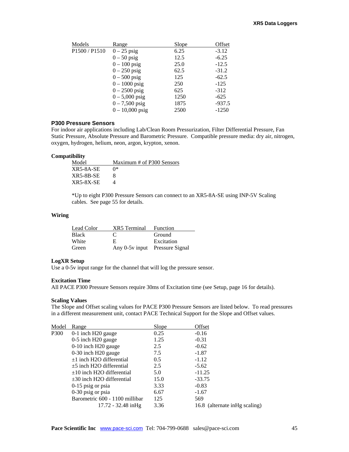| Models                                | Range             | Slope | Offset   |
|---------------------------------------|-------------------|-------|----------|
| P <sub>1500</sub> / P <sub>1510</sub> | $0-25$ psig       | 6.25  | $-3.12$  |
|                                       | $0-50$ psig       | 12.5  | $-6.25$  |
|                                       | $0-100$ psig      | 25.0  | $-12.5$  |
|                                       | $0-250$ psig      | 62.5  | $-31.2$  |
|                                       | $0 - 500$ psig    | 125   | $-62.5$  |
|                                       | $0 - 1000$ psig   | 250   | $-125$   |
|                                       | $0 - 2500$ psig   | 625   | $-312$   |
|                                       | $0 - 5,000$ psig  | 1250  | $-625$   |
|                                       | $0 - 7,500$ psig  | 1875  | $-937.5$ |
|                                       | $0 - 10,000$ psig | 2500  | $-1250$  |
|                                       |                   |       |          |

### **P300 Pressure Sensors**

For indoor air applications including Lab/Clean Room Pressurization, Filter Differential Pressure, Fan Static Pressure, Absolute Pressure and Barometric Pressure. Compatible pressure media: dry air, nitrogen, oxygen, hydrogen, helium, neon, argon, krypton, xenon.

#### **Compatibility**

| Maximum # of P300 Sensors |
|---------------------------|
| ∩∗                        |
|                           |
| Δ                         |
|                           |

\*Up to eight P300 Pressure Sensors can connect to an XR5-8A-SE using INP-5V Scaling cables. See page 55 for details.

#### **Wiring**

| Lead Color | <b>XR5</b> Terminal Function |                                |
|------------|------------------------------|--------------------------------|
| Black      | €                            | Ground                         |
| White      | E.                           | Excitation                     |
| Green      |                              | Any 0-5v input Pressure Signal |

#### **LogXR Setup**

Use a 0-5v input range for the channel that will log the pressure sensor.

#### **Excitation Time**

All PACE P300 Pressure Sensors require 30ms of Excitation time (see Setup, page 16 for details).

#### **Scaling Values**

The Slope and Offset scaling values for PACE P300 Pressure Sensors are listed below. To read pressures in a different measurement unit, contact PACE Technical Support for the Slope and Offset values.

| Model | Range                          | Slope | Offset                         |
|-------|--------------------------------|-------|--------------------------------|
| P300  | 0-1 inch H20 gauge             | 0.25  | $-0.16$                        |
|       | $0-5$ inch H20 gauge           | 1.25  | $-0.31$                        |
|       | 0-10 inch H20 gauge            | 2.5   | $-0.62$                        |
|       | 0-30 inch H20 gauge            | 7.5   | $-1.87$                        |
|       | $\pm 1$ inch H2O differential  | 0.5   | $-1.12$                        |
|       | $\pm$ 5 inch H2O differential  | 2.5   | $-5.62$                        |
|       | $\pm 10$ inch H2O differential | 5.0   | $-11.25$                       |
|       | $\pm$ 30 inch H2O differential | 15.0  | $-33.75$                       |
|       | $0-15$ psig or psia            | 3.33  | $-0.83$                        |
|       | $0-30$ psig or psia            | 6.67  | $-1.67$                        |
|       | Barometric 600 - 1100 millibar | 125   | 569                            |
|       | $17.72 - 32.48$ in Hg          | 3.36  | 16.8 (alternate in Hg scaling) |
|       |                                |       |                                |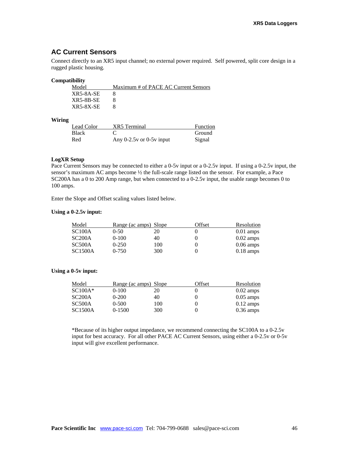### **AC Current Sensors**

Connect directly to an XR5 input channel; no external power required. Self powered, split core design in a rugged plastic housing.

#### **Compatibility**

| Maximum # of PACE AC Current Sensors |
|--------------------------------------|
|                                      |
|                                      |
|                                      |
|                                      |

#### **Wiring**

| Lead Color   | XR5 Terminal                 | <b>Function</b> |
|--------------|------------------------------|-----------------|
| <b>Black</b> |                              | Ground          |
| Red          | Any $0-2.5v$ or $0-5v$ input | Signal          |

#### **LogXR Setup**

Pace Current Sensors may be connected to either a 0-5v input or a 0-2.5v input. If using a 0-2.5v input, the sensor's maximum AC amps become ½ the full-scale range listed on the sensor. For example, a Pace SC200A has a 0 to 200 Amp range, but when connected to a 0-2.5v input, the usable range becomes 0 to 100 amps.

Enter the Slope and Offset scaling values listed below.

#### **Using a 0-2.5v input:**

| Model          | <u>Range (ac amps) Slope</u> |     | Offset | Resolution          |
|----------------|------------------------------|-----|--------|---------------------|
| <b>SC100A</b>  | $0-50$                       | 20  |        | $0.01$ amps         |
| SC200A         | $0-100$                      | 40  | 0      | $0.02 \text{ amps}$ |
| SC500A         | $0-250$                      | 100 |        | $0.06 \text{ amps}$ |
| <b>SC1500A</b> | $0 - 750$                    | 300 |        | $0.18 \text{ amps}$ |

#### **Using a 0-5v input:**

| Model          | Range (ac amps) Slope |     | Offset | Resolution          |
|----------------|-----------------------|-----|--------|---------------------|
| $SC100A*$      | $0-100$               | 20  |        | $0.02 \text{ amps}$ |
| SC200A         | $0-200$               | 40  |        | $0.05$ amps         |
| SC500A         | $0 - 500$             | 100 |        | $0.12 \text{ amps}$ |
| <b>SC1500A</b> | $0-1500$              | 300 |        | $0.36 \text{ amps}$ |

\*Because of its higher output impedance, we recommend connecting the SC100A to a 0-2.5v input for best accuracy. For all other PACE AC Current Sensors, using either a 0-2.5v or 0-5v input will give excellent performance.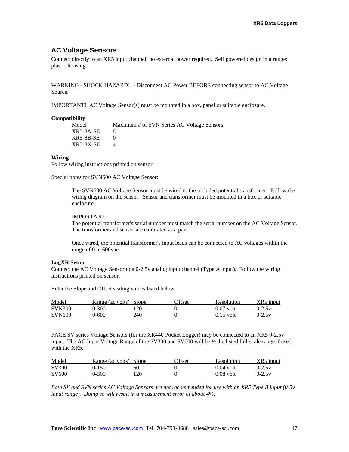### **AC Voltage Sensors**

Connect directly to an XR5 input channel; no external power required. Self powered design in a rugged plastic housing.

WARNING - SHOCK HAZARD!! - Disconnect AC Power BEFORE connecting sensor to AC Voltage Source.

IMPORTANT! AC Voltage Sensor(s) must be mounted in a box, panel or suitable enclosure.

#### **Compatibility**

| Model     | Maximum # of SVN Series AC Voltage Sensors |
|-----------|--------------------------------------------|
| XR5-8A-SE |                                            |
| XR5-8B-SE |                                            |
| XR5-8X-SE |                                            |

#### **Wiring**

Follow wiring instructions printed on sensor.

Special notes for SVN600 AC Voltage Sensor:

The SVN600 AC Voltage Sensor must be wired to the included potential transformer. Follow the wiring diagram on the sensor. Sensor and transformer must be mounted in a box or suitable enclosure.

#### IMPORTANT!

The potential transformer's serial number must match the serial number on the AC Voltage Sensor. The transformer and sensor are calibrated as a pair.

Once wired, the potential transformer's input leads can be connected to AC voltages within the range of 0 to 600vac.

#### **LogXR Setup**

Connect the AC Voltage Sensor to a 0-2.5v analog input channel (Type A input). Follow the wiring instructions printed on sensor.

Enter the Slope and Offset scaling values listed below.

| Model         | Range (ac volts) Slope |     | <b>)ffset</b> | Resolution  | XR5 input |
|---------------|------------------------|-----|---------------|-------------|-----------|
| <b>SVN300</b> | 0-300                  | 20  |               | $0.07$ volt | $0-2.5v$  |
| <b>SVN600</b> | 0-600                  | 240 |               | $0.15$ volt | $0-2.5v$  |

PACE SV series Voltage Sensors (for the XR440 Pocket Logger) may be connected to an XR5 0-2.5v input. The AC Input Voltage Range of the SV300 and SV600 will be ½ the listed full-scale range if used with the XR5.

| Model             | Range (ac volts) Slope |     | <b>Offset</b> | <b>Resolution</b> | XR5 input |
|-------------------|------------------------|-----|---------------|-------------------|-----------|
| SV300             | $0 - 150$              | 60  |               | $0.04$ volt       | $0-2.5v$  |
| SV <sub>600</sub> | 0-300                  | 120 |               | $0.08$ volt       | $0-2.5v$  |

*Both SV and SVN series AC Voltage Sensors are not recommended for use with an XR5 Type B input (0-5v input range). Doing so will result in a measurement error of about 4%.*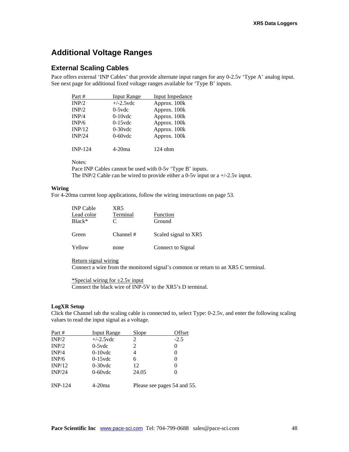## **Additional Voltage Ranges**

### **External Scaling Cables**

Pace offers external 'INP Cables' that provide alternate input ranges for any 0-2.5v 'Type A' analog input. See next page for additional fixed voltage ranges available for 'Type B' inputs.

| Part #         | <b>Input Range</b> | Input Impedance |
|----------------|--------------------|-----------------|
| INP/2          | $+/-2.5$ vdc       | Approx. 100k    |
| INP/2          | $0-5$ vdc          | Approx. 100k    |
| INP/4          | $0-10$ vdc         | Approx. 100k    |
| INP/6          | $0-15$ vdc         | Approx. 100k    |
| INP/12         | $0-30$ vdc         | Approx. 100k    |
| INP/24         | $0-60$ vdc         | Approx. 100k    |
|                |                    |                 |
| <b>INP-124</b> | 4-20ma             | 124 ohm         |

Notes:

Pace INP Cables cannot be used with 0-5v 'Type B' inputs. The INP/2 Cable can be wired to provide either a 0-5v input or a  $+/-2.5v$  input.

### **Wiring**

For 4-20ma current loop applications, follow the wiring instructions on page 53.

| <b>INP</b> Cable | XR5       |                      |
|------------------|-----------|----------------------|
| Lead color       | Terminal  | Function             |
| $Black*$         | C         | Ground               |
| Green            | Channel # | Scaled signal to XR5 |
| Yellow           | none      | Connect to Signal    |

Return signal wiring

Connect a wire from the monitored signal's common or return to an XR5 C terminal.

\*Special wiring for  $\pm$ 2.5v input Connect the black wire of INP-5V to the XR5's D terminal.

#### **LogXR Setup**

Click the Channel tab the scaling cable is connected to, select Type: 0-2.5v, and enter the following scaling values to read the input signal as a voltage.

| Part #         | <b>Input Range</b> | Slope | Offset                      |
|----------------|--------------------|-------|-----------------------------|
| INP/2          | $+/-2.5$ vdc       | 2     | $-2.5$                      |
| INP/2          | $0-5$ vdc          | 2     | 0                           |
| INP/4          | $0-10$ vdc         | 4     |                             |
| INP/6          | $0-15$ vdc         | 6     | 0                           |
| INP/12         | $0-30$ vdc         | 12    | 0                           |
| INP/24         | $0-60$ vdc         | 24.05 |                             |
| <b>INP-124</b> | $4-20$ ma          |       | Please see pages 54 and 55. |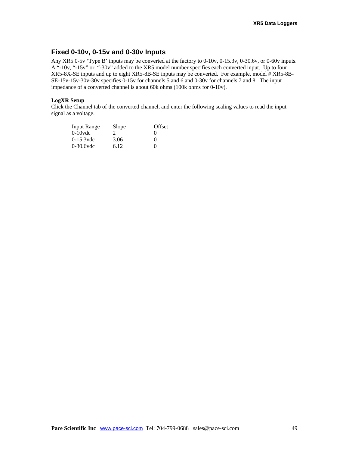### **Fixed 0-10v, 0-15v and 0-30v Inputs**

Any XR5 0-5v 'Type B' inputs may be converted at the factory to 0-10v, 0-15.3v, 0-30.6v, or 0-60v inputs. A "-10v, "-15v" or "-30v" added to the XR5 model number specifies each converted input. Up to four XR5-8X-SE inputs and up to eight XR5-8B-SE inputs may be converted. For example, model # XR5-8B-SE-15v-15v-30v-30v specifies 0-15v for channels 5 and 6 and 0-30v for channels 7 and 8. The input impedance of a converted channel is about 60k ohms (100k ohms for 0-10v).

### **LogXR Setup**

Click the Channel tab of the converted channel, and enter the following scaling values to read the input signal as a voltage.

| Input Range  | Slope | Offset       |
|--------------|-------|--------------|
| $0-10$ vdc   |       | $\mathbf{0}$ |
| $0-15.3$ vdc | 3.06  | $\Omega$     |
| $0-30.6$ vdc | 6.12  | $\mathbf{0}$ |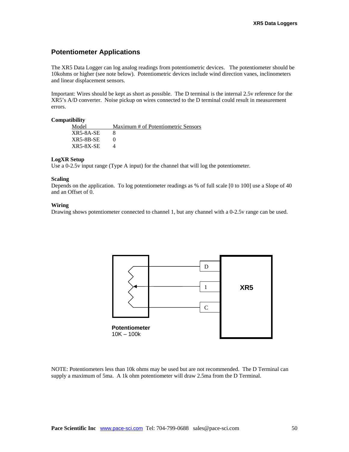### **Potentiometer Applications**

The XR5 Data Logger can log analog readings from potentiometric devices. The potentiometer should be 10kohms or higher (see note below). Potentiometric devices include wind direction vanes, inclinometers and linear displacement sensors.

Important: Wires should be kept as short as possible. The D terminal is the internal 2.5v reference for the XR5's A/D converter. Noise pickup on wires connected to the D terminal could result in measurement errors.

#### **Compatibility**

| Model            | Maximum # of Potentiometric Sensors |
|------------------|-------------------------------------|
| $XR5-8A-SE$      |                                     |
| $XR5-8B-SE$      |                                     |
| <b>XR5-8X-SE</b> |                                     |

#### **LogXR Setup**

Use a 0-2.5v input range (Type A input) for the channel that will log the potentiometer.

#### **Scaling**

Depends on the application. To log potentiometer readings as % of full scale [0 to 100] use a Slope of 40 and an Offset of 0.

#### **Wiring**

Drawing shows potentiometer connected to channel 1, but any channel with a 0-2.5v range can be used.



NOTE: Potentiometers less than 10k ohms may be used but are not recommended. The D Terminal can supply a maximum of 5ma. A 1k ohm potentiometer will draw 2.5ma from the D Terminal.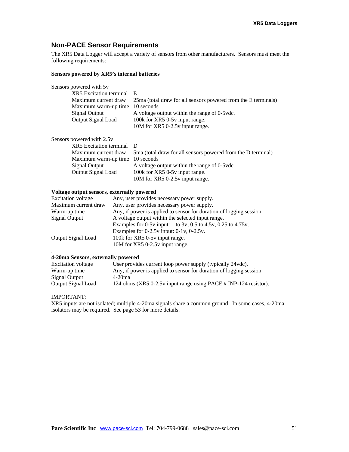## **Non-PACE Sensor Requirements**

The XR5 Data Logger will accept a variety of sensors from other manufacturers. Sensors must meet the following requirements:

#### **Sensors powered by XR5's internal batteries**

| Sensors powered with 5y        |                                                                |
|--------------------------------|----------------------------------------------------------------|
| <b>XR5</b> Excitation terminal | E                                                              |
| Maximum current draw           | 25ma (total draw for all sensors powered from the E terminals) |
| Maximum warm-up time           | 10 seconds                                                     |
| Signal Output                  | A voltage output within the range of 0-5 vdc.                  |
| <b>Output Signal Load</b>      | 100k for XR5 0-5y input range.                                 |
|                                | 10M for XR5 0-2.5v input range.                                |
|                                |                                                                |
| Sensors powered with 2.5v      |                                                                |
| <b>XR5</b> Excitation terminal | D                                                              |
| Maximum current draw           | 5 ma (total draw for all sensors powered from the D terminal)  |
| Maximum warm-up time           | 10 seconds                                                     |
| Signal Output                  | A voltage output within the range of 0-5 vdc.                  |
| <b>Output Signal Load</b>      | 100k for XR5 0-5y input range.                                 |
|                                | 10M for XR5 0-2.5y input range.                                |

### **Voltage output sensors, externally powered**

| <b>Excitation voltage</b> | Any, user provides necessary power supply.                          |
|---------------------------|---------------------------------------------------------------------|
| Maximum current draw      | Any, user provides necessary power supply.                          |
| Warm-up time              | Any, if power is applied to sensor for duration of logging session. |
| Signal Output             | A voltage output within the selected input range.                   |
|                           | Examples for 0-5y input: 1 to 3y; 0.5 to 4.5y, 0.25 to 4.75y.       |
|                           | Examples for $0-2.5v$ input: $0-1v$ , $0-2.5v$ .                    |
| <b>Output Signal Load</b> | 100k for XR5 0-5y input range.                                      |
|                           | 10M for XR5 0-2.5v input range.                                     |
|                           |                                                                     |

#### **4-20ma Sensors, externally powered**

| Excitation voltage | User provides current loop power supply (typically 24vdc).          |
|--------------------|---------------------------------------------------------------------|
| Warm-up time       | Any, if power is applied to sensor for duration of logging session. |
| Signal Output      | 4-20ma                                                              |
| Output Signal Load | 124 ohms (XR5 0-2.5v input range using PACE # INP-124 resistor).    |

#### IMPORTANT:

XR5 inputs are not isolated; multiple 4-20ma signals share a common ground. In some cases, 4-20ma isolators may be required. See page 53 for more details.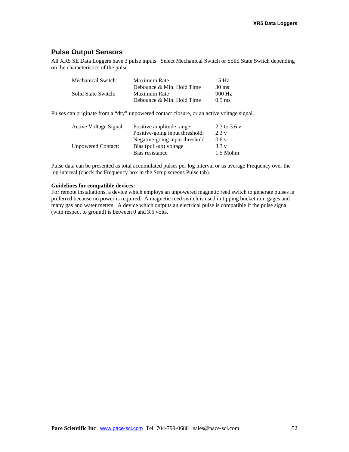### **Pulse Output Sensors**

All XR5 SE Data Loggers have 3 pulse inputs. Select Mechanical Switch or Solid State Switch depending on the characteristics of the pulse.

| Mechanical Switch:  | Maximum Rate              | 15 Hz            |
|---------------------|---------------------------|------------------|
|                     | Debounce & Min. Hold Time | $30 \text{ ms}$  |
| Solid State Switch: | Maximum Rate              | 900 Hz           |
|                     | Debounce & Min. Hold Time | $0.5 \text{ ms}$ |

Pulses can originate from a "dry" unpowered contact closure, or an active voltage signal.

| Active Voltage Signal:    | Positive amplitude range:       | 2.3 to 3.6 v |
|---------------------------|---------------------------------|--------------|
|                           | Positive-going input threshold: | 2.3v         |
|                           | Negative-going input threshold  | 0.6v         |
| <b>Unpowered Contact:</b> | Bias (pull-up) voltage          | 3.3v         |
|                           | Bias resistance                 | $1.5$ Mohm   |

Pulse data can be presented as total accumulated pulses per log interval or as average Frequency over the log interval (check the Frequency box in the Setup screens Pulse tab).

#### **Guidelines for compatible devices:**

For remote installations, a device which employs an unpowered magnetic reed switch to generate pulses is preferred because no power is required. A magnetic reed switch is used in tipping bucket rain gages and many gas and water meters. A device which outputs an electrical pulse is compatible if the pulse signal (with respect to ground) is between 0 and 3.6 volts.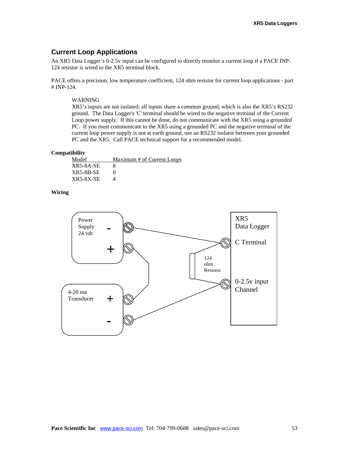### **Current Loop Applications**

An XR5 Data Logger's 0-2.5v input can be configured to directly monitor a current loop if a PACE INP-124 resistor is wired to the XR5 terminal block.

PACE offers a precision, low temperature coefficient, 124 ohm resistor for current loop applications - part # INP-124.

### WARNING

XR5's inputs are not isolated; all inputs share a common ground, which is also the XR5's RS232 ground. The Data Logger's 'C' terminal should be wired to the negative terminal of the Current Loop power supply. If this cannot be done, do not communicate with the XR5 using a grounded PC. If you must communicate to the XR5 using a grounded PC and the negative terminal of the current loop power supply is not at earth ground, use an RS232 isolator between your grounded PC and the XR5. Call PACE technical support for a recommended model.

#### **Compatibility**

| Model       | Maximum # of Current Loops |
|-------------|----------------------------|
| XR5-8A-SE   |                            |
| $XR5-8B-SE$ |                            |
| XR5-8X-SE   |                            |

### **Wiring**

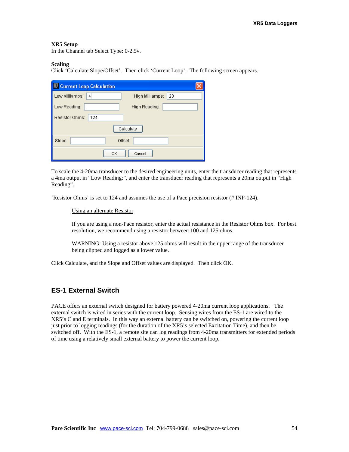#### **XR5 Setup**

In the Channel tab Select Type: 0-2.5v.

#### **Scaling**

Click 'Calculate Slope/Offset'. Then click 'Current Loop'. The following screen appears.

| A Current Loop Calculation                   |
|----------------------------------------------|
| Low Milliamps:<br>4<br>High Milliamps:<br>20 |
| Low Reading:<br>High Reading:                |
| Resistor Ohms:<br>124                        |
| Calculate                                    |
| Offset:<br>Slope:                            |
| Cancel<br>OK                                 |

To scale the 4-20ma transducer to the desired engineering units, enter the transducer reading that represents a 4ma output in "Low Reading:", and enter the transducer reading that represents a 20ma output in "High Reading".

'Resistor Ohms' is set to 124 and assumes the use of a Pace precision resistor (# INP-124).

#### Using an alternate Resistor

If you are using a non-Pace resistor, enter the actual resistance in the Resistor Ohms box. For best resolution, we recommend using a resistor between 100 and 125 ohms.

WARNING: Using a resistor above 125 ohms will result in the upper range of the transducer being clipped and logged as a lower value.

Click Calculate, and the Slope and Offset values are displayed. Then click OK.

### **ES-1 External Switch**

PACE offers an external switch designed for battery powered 4-20ma current loop applications. The external switch is wired in series with the current loop. Sensing wires from the ES-1 are wired to the XR5's C and E terminals. In this way an external battery can be switched on, powering the current loop just prior to logging readings (for the duration of the XR5's selected Excitation Time), and then be switched off. With the ES-1, a remote site can log readings from 4-20ma transmitters for extended periods of time using a relatively small external battery to power the current loop.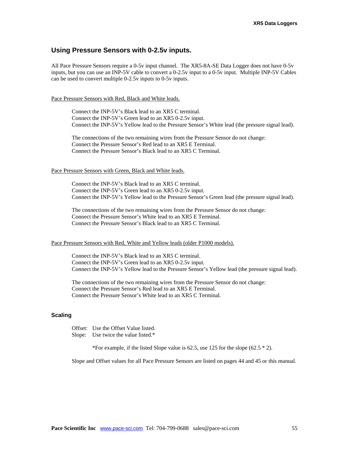### **Using Pressure Sensors with 0-2.5v inputs.**

All Pace Pressure Sensors require a 0-5v input channel. The XR5-8A-SE Data Logger does not have 0-5v inputs, but you can use an INP-5V cable to convert a 0-2.5v input to a 0-5v input. Multiple INP-5V Cables can be used to convert multiple 0-2.5v inputs to 0-5v inputs.

Pace Pressure Sensors with Red, Black and White leads.

Connect the INP-5V's Black lead to an XR5 C terminal. Connect the INP-5V's Green lead to an XR5 0-2.5v input. Connect the INP-5V's Yellow lead to the Pressure Sensor's White lead (the pressure signal lead).

The connections of the two remaining wires from the Pressure Sensor do not change: Connect the Pressure Sensor's Red lead to an XR5 E Terminal. Connect the Pressure Sensor's Black lead to an XR5 C Terminal.

#### Pace Pressure Sensors with Green, Black and White leads.

Connect the INP-5V's Black lead to an XR5 C terminal. Connect the INP-5V's Green lead to an XR5 0-2.5v input. Connect the INP-5V's Yellow lead to the Pressure Sensor's Green lead (the pressure signal lead).

The connections of the two remaining wires from the Pressure Sensor do not change: Connect the Pressure Sensor's White lead to an XR5 E Terminal. Connect the Pressure Sensor's Black lead to an XR5 C Terminal.

#### Pace Pressure Sensors with Red, White and Yellow leads (older P1000 models).

Connect the INP-5V's Black lead to an XR5 C terminal. Connect the INP-5V's Green lead to an XR5 0-2.5v input. Connect the INP-5V's Yellow lead to the Pressure Sensor's Yellow lead (the pressure signal lead).

The connections of the two remaining wires from the Pressure Sensor do not change: Connect the Pressure Sensor's Red lead to an XR5 E Terminal. Connect the Pressure Sensor's White lead to an XR5 C Terminal.

#### **Scaling**

Offset: Use the Offset Value listed. Slope: Use twice the value listed.\*

\*For example, if the listed Slope value is  $62.5$ , use 125 for the slope  $(62.5 * 2)$ .

Slope and Offset values for all Pace Pressure Sensors are listed on pages 44 and 45 or this manual.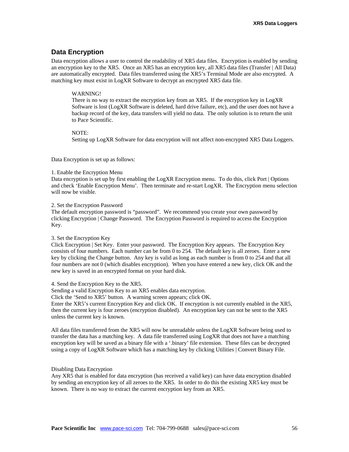### **Data Encryption**

Data encryption allows a user to control the readability of XR5 data files. Encryption is enabled by sending an encryption key to the XR5. Once an XR5 has an encryption key, all XR5 data files (Transfer | All Data) are automatically encrypted. Data files transferred using the XR5's Terminal Mode are also encrypted. A matching key must exist in LogXR Software to decrypt an encrypted XR5 data file.

#### WARNING!

There is no way to extract the encryption key from an XR5. If the encryption key in LogXR Software is lost (LogXR Software is deleted, hard drive failure, etc), and the user does not have a backup record of the key, data transfers will yield no data. The only solution is to return the unit to Pace Scientific.

#### NOTE:

Setting up LogXR Software for data encryption will not affect non-encrypted XR5 Data Loggers.

Data Encryption is set up as follows:

#### 1. Enable the Encryption Menu

Data encryption is set up by first enabling the LogXR Encryption menu. To do this, click Port | Options and check 'Enable Encryption Menu'. Then terminate and re-start LogXR. The Encryption menu selection will now be visible.

#### 2. Set the Encryption Password

The default encryption password is "password". We recommend you create your own password by clicking Encryption | Change Password. The Encryption Password is required to access the Encryption Key.

#### 3. Set the Encryption Key

Click Encryption | Set Key. Enter your password. The Encryption Key appears. The Encryption Key consists of four numbers. Each number can be from 0 to 254. The default key is all zeroes. Enter a new key by clicking the Change button. Any key is valid as long as each number is from 0 to 254 and that all four numbers are not 0 (which disables encryption). When you have entered a new key, click OK and the new key is saved in an encrypted format on your hard disk.

#### 4. Send the Encryption Key to the XR5.

Sending a valid Encryption Key to an XR5 enables data encryption.

Click the 'Send to XR5' button. A warning screen appears; click OK.

Enter the XR5's current Encryption Key and click OK. If encryption is not currently enabled in the XR5, then the current key is four zeroes (encryption disabled). An encryption key can not be sent to the XR5 unless the current key is known.

All data files transferred from the XR5 will now be unreadable unless the LogXR Software being used to transfer the data has a matching key. A data file transferred using LogXR that does not have a matching encryption key will be saved as a binary file with a '.binary' file extension. These files can be decrypted using a copy of LogXR Software which has a matching key by clicking Utilities | Convert Binary File.

#### Disabling Data Encryption

Any XR5 that is enabled for data encryption (has received a valid key) can have data encryption disabled by sending an encryption key of all zeroes to the XR5. In order to do this the existing XR5 key must be known. There is no way to extract the current encryption key from an XR5.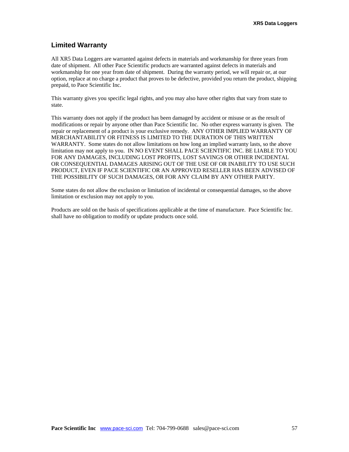### **Limited Warranty**

All XR5 Data Loggers are warranted against defects in materials and workmanship for three years from date of shipment. All other Pace Scientific products are warranted against defects in materials and workmanship for one year from date of shipment. During the warranty period, we will repair or, at our option, replace at no charge a product that proves to be defective, provided you return the product, shipping prepaid, to Pace Scientific Inc.

This warranty gives you specific legal rights, and you may also have other rights that vary from state to state.

This warranty does not apply if the product has been damaged by accident or misuse or as the result of modifications or repair by anyone other than Pace Scientific Inc. No other express warranty is given. The repair or replacement of a product is your exclusive remedy. ANY OTHER IMPLIED WARRANTY OF MERCHANTABILITY OR FITNESS IS LIMITED TO THE DURATION OF THIS WRITTEN WARRANTY. Some states do not allow limitations on how long an implied warranty lasts, so the above limitation may not apply to you. IN NO EVENT SHALL PACE SCIENTIFIC INC. BE LIABLE TO YOU FOR ANY DAMAGES, INCLUDING LOST PROFITS, LOST SAVINGS OR OTHER INCIDENTAL OR CONSEQUENTIAL DAMAGES ARISING OUT OF THE USE OF OR INABILITY TO USE SUCH PRODUCT, EVEN IF PACE SCIENTIFIC OR AN APPROVED RESELLER HAS BEEN ADVISED OF THE POSSIBILITY OF SUCH DAMAGES, OR FOR ANY CLAIM BY ANY OTHER PARTY.

Some states do not allow the exclusion or limitation of incidental or consequential damages, so the above limitation or exclusion may not apply to you.

Products are sold on the basis of specifications applicable at the time of manufacture. Pace Scientific Inc. shall have no obligation to modify or update products once sold.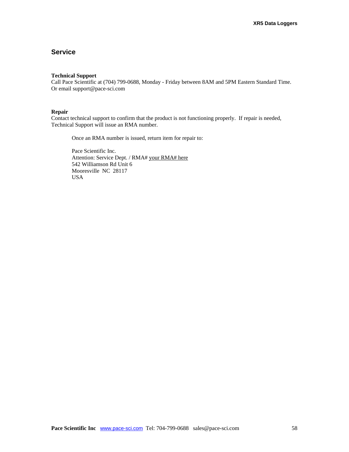### **Service**

#### **Technical Support**

Call Pace Scientific at (704) 799-0688, Monday - Friday between 8AM and 5PM Eastern Standard Time. Or email support@pace-sci.com

#### **Repair**

Contact technical support to confirm that the product is not functioning properly. If repair is needed, Technical Support will issue an RMA number.

Once an RMA number is issued, return item for repair to:

Pace Scientific Inc. Attention: Service Dept. / RMA# your RMA# here 542 Williamson Rd Unit 6 Mooresville NC 28117 USA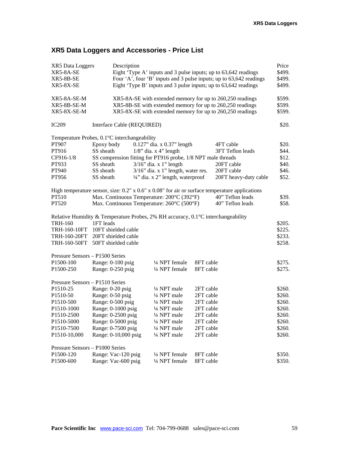## **XR5 Data Loggers and Accessories - Price List**

| XR5 Data Loggers<br>XR5-8A-SE<br>XR5-8B-SE<br>XR5-8X-SE | Description                                                                                |                                                              |           | Eight 'Type A' inputs and 3 pulse inputs; up to 63,642 readings<br>Four 'A', four 'B' inputs and 3 pulse inputs; up to 63,642 readings<br>Eight 'Type B' inputs and 3 pulse inputs; up to 63,642 readings | Price<br>\$499.<br>\$499.<br>\$499. |
|---------------------------------------------------------|--------------------------------------------------------------------------------------------|--------------------------------------------------------------|-----------|-----------------------------------------------------------------------------------------------------------------------------------------------------------------------------------------------------------|-------------------------------------|
| XR5-8A-SE-M<br>XR5-8B-SE-M                              |                                                                                            |                                                              |           | XR5-8A-SE with extended memory for up to 260,250 readings<br>XR5-8B-SE with extended memory for up to 260,250 readings                                                                                    | \$599.<br>\$599.                    |
| $XR5-SX-SE-M$                                           |                                                                                            |                                                              |           | XR5-8X-SE with extended memory for up to 260,250 readings                                                                                                                                                 | \$599.                              |
| <b>IC209</b>                                            | Interface Cable (REQUIRED)                                                                 |                                                              |           |                                                                                                                                                                                                           | \$20.                               |
|                                                         | Temperature Probes, 0.1°C interchangeability                                               |                                                              |           |                                                                                                                                                                                                           |                                     |
| PT907                                                   | Epoxy body                                                                                 | $0.127$ " dia. x $0.37$ " length                             |           | 4FT cable                                                                                                                                                                                                 | \$20.                               |
| PT916                                                   | SS sheath                                                                                  | $1/8$ " dia. x 4" length                                     |           | 3FT Teflon leads                                                                                                                                                                                          | \$44.                               |
| CF916-1/8                                               |                                                                                            | SS compression fitting for PT916 probe, 1/8 NPT male threads |           |                                                                                                                                                                                                           | \$12.                               |
| PT933                                                   | SS sheath                                                                                  | $3/16$ " dia. x 1" length                                    |           | 20FT cable                                                                                                                                                                                                | \$40.                               |
| PT940                                                   | SS sheath                                                                                  | $3/16$ " dia. x 1" length, water res.                        |           | 20FT cable                                                                                                                                                                                                | \$46.                               |
| PT956                                                   | SS sheath                                                                                  | 1/4" dia. x 2" length, waterproof                            |           | 20FT heavy-duty cable                                                                                                                                                                                     | \$52.                               |
|                                                         |                                                                                            |                                                              |           |                                                                                                                                                                                                           |                                     |
|                                                         |                                                                                            |                                                              |           | High temperature sensor, size: $0.2$ " x $0.6$ " x $0.08$ " for air or surface temperature applications                                                                                                   |                                     |
| PT510                                                   |                                                                                            | Max. Continuous Temperature: 200°C (392°F)                   |           | 40" Teflon leads                                                                                                                                                                                          | \$39.                               |
| PT520                                                   |                                                                                            | Max. Continuous Temperature: 260°C (500°F)                   |           | 40" Teflon leads                                                                                                                                                                                          | \$58.                               |
|                                                         |                                                                                            |                                                              |           |                                                                                                                                                                                                           |                                     |
|                                                         | Relative Humidity & Temperature Probes, 2% RH accuracy, $0.1^{\circ}$ C interchangeability |                                                              |           |                                                                                                                                                                                                           |                                     |
| <b>TRH-160</b>                                          | 1FT leads                                                                                  |                                                              |           |                                                                                                                                                                                                           | \$205.                              |
| <b>TRH-160-10FT</b>                                     | 10FT shielded cable                                                                        |                                                              |           |                                                                                                                                                                                                           | \$225.                              |
| TRH-160-20FT                                            | 20FT shielded cable                                                                        |                                                              |           |                                                                                                                                                                                                           | \$233.                              |
| <b>TRH-160-50FT</b>                                     | 50FT shielded cable                                                                        |                                                              |           |                                                                                                                                                                                                           | \$258.                              |
|                                                         |                                                                                            |                                                              |           |                                                                                                                                                                                                           |                                     |
| Pressure Sensors – P1500 Series                         |                                                                                            |                                                              |           |                                                                                                                                                                                                           |                                     |
| P1500-100                                               | Range: 0-100 psig                                                                          | 1/4 NPT female                                               | 8FT cable |                                                                                                                                                                                                           | \$275.                              |
| P1500-250                                               | Range: 0-250 psig                                                                          | 1/4 NPT female                                               | 8FT cable |                                                                                                                                                                                                           | \$275.                              |
|                                                         |                                                                                            |                                                              |           |                                                                                                                                                                                                           |                                     |
| Pressure Sensors - P1510 Series                         |                                                                                            |                                                              |           |                                                                                                                                                                                                           |                                     |
| P1510-25                                                | Range: 0-20 psig                                                                           | 1/4 NPT male                                                 | 2FT cable |                                                                                                                                                                                                           | \$260.                              |
| P <sub>1510</sub> -50                                   | Range: 0-50 psig                                                                           | 1/4 NPT male                                                 | 2FT cable |                                                                                                                                                                                                           | \$260.                              |
| P1510-500                                               | Range: 0-500 psig                                                                          | 1/4 NPT male                                                 | 2FT cable |                                                                                                                                                                                                           | \$260.                              |
| P1510-1000                                              | Range: 0-1000 psig                                                                         | 1/4 NPT male                                                 | 2FT cable |                                                                                                                                                                                                           | \$260.                              |
| P <sub>1510</sub> -2500                                 | Range: 0-2500 psig                                                                         | 1/4 NPT male                                                 | 2FT cable |                                                                                                                                                                                                           | \$260.                              |
| P1510-5000                                              | Range: 0-5000 psig                                                                         | 1/4 NPT male                                                 | 2FT cable |                                                                                                                                                                                                           | \$260.                              |
| P1510-7500                                              | Range: 0-7500 psig                                                                         | 1/4 NPT male                                                 | 2FT cable |                                                                                                                                                                                                           | \$260.                              |
| P1510-10,000                                            | Range: 0-10,000 psig                                                                       | 1/4 NPT male                                                 | 2FT cable |                                                                                                                                                                                                           | \$260.                              |
|                                                         |                                                                                            |                                                              |           |                                                                                                                                                                                                           |                                     |
| Pressure Sensors - P1000 Series                         |                                                                                            |                                                              |           |                                                                                                                                                                                                           |                                     |
| P1500-120                                               | Range: Vac-120 psig                                                                        | 1/4 NPT female                                               | 8FT cable |                                                                                                                                                                                                           | \$350.                              |
| P1500-600                                               | Range: Vac-600 psig                                                                        | 1/4 NPT female                                               | 8FT cable |                                                                                                                                                                                                           | \$350.                              |
|                                                         |                                                                                            |                                                              |           |                                                                                                                                                                                                           |                                     |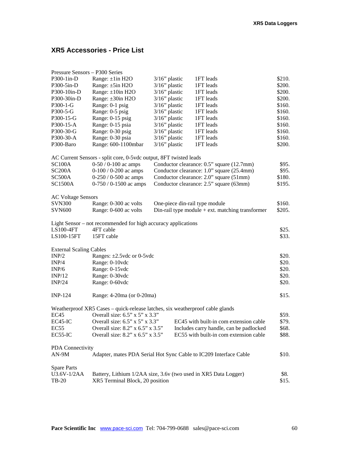## **XR5 Accessories - Price List**

| Pressure Sensors - P300 Series |                                                                               |                                           |  |                                                    |        |
|--------------------------------|-------------------------------------------------------------------------------|-------------------------------------------|--|----------------------------------------------------|--------|
| P300-1in-D                     | Range: ±1in H2O                                                               | $3/16$ " plastic                          |  | 1FT leads                                          | \$210. |
| P300-5in-D                     | Range: ±5in H2O                                                               | 3/16" plastic                             |  | 1FT leads                                          | \$200. |
| P300-10in-D                    | Range: $\pm 10$ in H2O                                                        | $3/16$ " plastic                          |  | 1FT leads                                          | \$200. |
| P300-30in-D                    | Range: ±30in H2O                                                              | $3/16$ " plastic                          |  | 1FT leads                                          | \$200. |
| $P300-1-G$                     | Range: 0-1 psig                                                               | $3/16$ " plastic                          |  | 1FT leads                                          | \$160. |
| P300-5-G                       | Range: 0-5 psig                                                               | $3/16$ " plastic                          |  | 1FT leads                                          | \$160. |
| P300-15-G                      | Range: 0-15 psig                                                              | $3/16$ " plastic                          |  | 1FT leads                                          | \$160. |
| P300-15-A                      | Range: 0-15 psia                                                              | $3/16$ " plastic                          |  | 1FT leads                                          | \$160. |
| P300-30-G                      | Range: 0-30 psig                                                              | $3/16$ " plastic                          |  | 1FT leads                                          | \$160. |
| P300-30-A                      | Range: 0-30 psia                                                              | $3/16$ " plastic                          |  | 1FT leads                                          | \$160. |
| P300-Baro                      | Range: 600-1100mbar                                                           | $3/16$ " plastic                          |  | 1FT leads                                          | \$200. |
|                                | AC Current Sensors - split core, 0-5vdc output, 8FT twisted leads             |                                           |  |                                                    |        |
| <b>SC100A</b>                  | $0-50/0-100$ ac amps                                                          |                                           |  | Conductor clearance: 0.5" square (12.7mm)          | \$95.  |
| SC <sub>200</sub> A            | $0-100/0-200$ ac amps                                                         | Conductor clearance: 1.0" square (25.4mm) |  |                                                    | \$95.  |
| SC500A                         | $0-250/0-500$ ac amps                                                         |                                           |  | Conductor clearance: 2.0" square (51mm)            | \$180. |
| <b>SC1500A</b>                 | $0-750/0-1500$ ac amps                                                        |                                           |  | Conductor clearance: 2.5" square (63mm)            | \$195. |
|                                |                                                                               |                                           |  |                                                    |        |
| <b>AC Voltage Sensors</b>      |                                                                               |                                           |  |                                                    |        |
| <b>SVN300</b>                  | Range: 0-300 ac volts                                                         |                                           |  | One-piece din-rail type module                     | \$160. |
| <b>SVN600</b>                  | Range: 0-600 ac volts                                                         |                                           |  | Din-rail type module $+$ ext. matching transformer | \$205. |
|                                | Light Sensor – not recommended for high accuracy applications                 |                                           |  |                                                    |        |
| LS100-4FT                      | 4FT cable                                                                     |                                           |  |                                                    | \$25.  |
| LS100-15FT                     | 15FT cable                                                                    |                                           |  |                                                    | \$33.  |
| <b>External Scaling Cables</b> |                                                                               |                                           |  |                                                    |        |
| INP/2                          | Ranges: $\pm 2.5$ vdc or 0-5 vdc                                              |                                           |  |                                                    | \$20.  |
| INP/4                          | Range: 0-10vdc                                                                |                                           |  | \$20.                                              |        |
| INP/6                          | Range: 0-15vdc                                                                |                                           |  | \$20.                                              |        |
| INP/12                         | Range: 0-30vdc                                                                |                                           |  | \$20.                                              |        |
| INP/24                         | Range: 0-60vdc                                                                |                                           |  |                                                    | \$20.  |
|                                |                                                                               |                                           |  |                                                    |        |
| $INP-124$                      | Range: 4-20ma (or 0-20ma)                                                     |                                           |  |                                                    | \$15.  |
|                                | Weatherproof XR5 Cases - quick-release latches, six weatherproof cable glands |                                           |  |                                                    |        |
| EC45                           | Overall size: 6.5" x 5" x 3.3"                                                |                                           |  |                                                    | \$59.  |
| EC45-IC                        | Overall size: $6.5$ " x $5$ " x $3.3$ "                                       |                                           |  | EC45 with built-in com extension cable             | \$79.  |
| EC55                           | Overall size: 8.2" x 6.5" x 3.5"                                              |                                           |  | Includes carry handle, can be padlocked            | \$68.  |
| EC55-IC                        | Overall size: 8.2" x 6.5" x 3.5"                                              |                                           |  | EC55 with built-in com extension cable             | \$88.  |
| PDA Connectivity               |                                                                               |                                           |  |                                                    |        |
| $AN-9M$                        | Adapter, mates PDA Serial Hot Sync Cable to IC209 Interface Cable             |                                           |  |                                                    | \$10.  |
| <b>Spare Parts</b>             |                                                                               |                                           |  |                                                    |        |
| U3.6V-1/2AA                    | Battery, Lithium 1/2AA size, 3.6v (two used in XR5 Data Logger)               |                                           |  |                                                    | \$8.   |
| <b>TB-20</b>                   | XR5 Terminal Block, 20 position                                               |                                           |  | \$15.                                              |        |
|                                |                                                                               |                                           |  |                                                    |        |